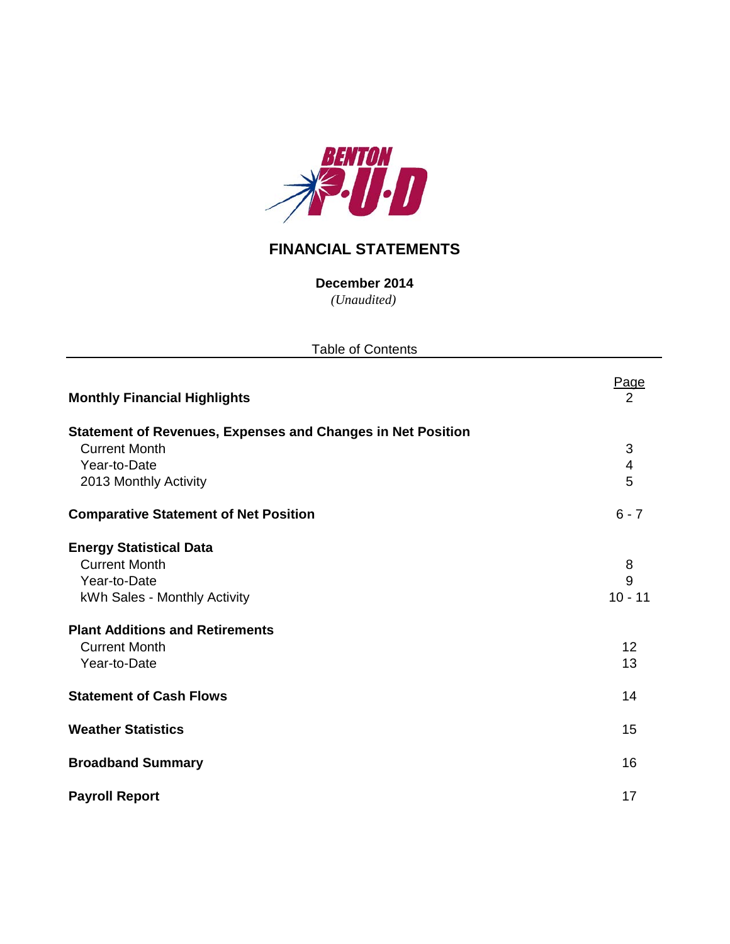

# **FINANCIAL STATEMENTS**

*(Unaudited)* **December 2014**

| <b>Table of Contents</b>                                           |                         |  |  |  |  |  |  |  |  |
|--------------------------------------------------------------------|-------------------------|--|--|--|--|--|--|--|--|
| <b>Monthly Financial Highlights</b>                                | Page<br>2               |  |  |  |  |  |  |  |  |
| <b>Statement of Revenues, Expenses and Changes in Net Position</b> |                         |  |  |  |  |  |  |  |  |
| <b>Current Month</b>                                               | 3                       |  |  |  |  |  |  |  |  |
| Year-to-Date                                                       | $\overline{\mathbf{4}}$ |  |  |  |  |  |  |  |  |
| 2013 Monthly Activity                                              | 5                       |  |  |  |  |  |  |  |  |
| <b>Comparative Statement of Net Position</b>                       | $6 - 7$                 |  |  |  |  |  |  |  |  |
| <b>Energy Statistical Data</b>                                     |                         |  |  |  |  |  |  |  |  |
| <b>Current Month</b>                                               | 8                       |  |  |  |  |  |  |  |  |
| Year-to-Date                                                       | 9                       |  |  |  |  |  |  |  |  |
| kWh Sales - Monthly Activity                                       | $10 - 11$               |  |  |  |  |  |  |  |  |
| <b>Plant Additions and Retirements</b>                             |                         |  |  |  |  |  |  |  |  |
| <b>Current Month</b>                                               | 12                      |  |  |  |  |  |  |  |  |
| Year-to-Date                                                       | 13                      |  |  |  |  |  |  |  |  |
| <b>Statement of Cash Flows</b>                                     | 14                      |  |  |  |  |  |  |  |  |
| <b>Weather Statistics</b>                                          | 15                      |  |  |  |  |  |  |  |  |
| <b>Broadband Summary</b>                                           | 16                      |  |  |  |  |  |  |  |  |
| <b>Payroll Report</b>                                              | 17                      |  |  |  |  |  |  |  |  |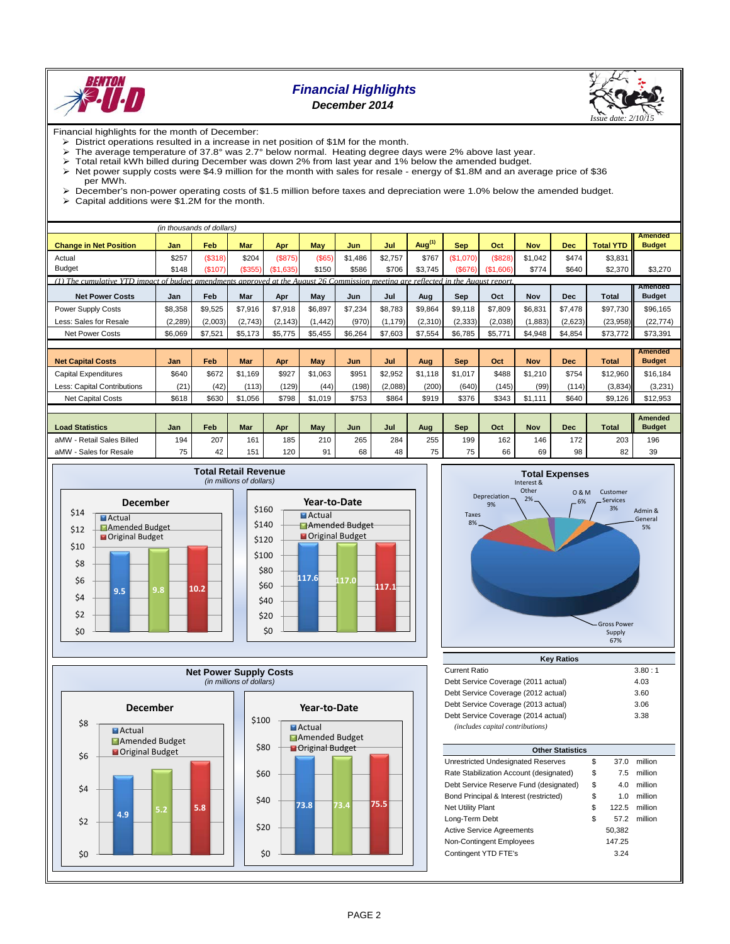

## *Financial Highlights December 2014*



Financial highlights for the month of December:

- District operations resulted in a increase in net position of \$1M for the month.<br>
> The average temperature of 37.8° was 2.7° below normal. Heating degree da
- The average temperature of 37.8° was 2.7° below normal. Heating degree days were 2% above last year.<br>
> Total retail kWh billed during December was down 2% from last year and 1% below the amended budget.
- $\geq$  Total retail kWh billed during December was down 2% from last year and 1% below the amended budget.<br> $\geq$  Net power supply costs were \$4.9 million for the month with sales for resale energy of \$1.8M and an ave
- Net power supply costs were \$4.9 million for the month with sales for resale energy of \$1.8M and an average price of \$36
- per MWh.  $\triangleright$  December's non-power operating costs of \$1.5 million before taxes and depreciation were 1.0% below the amended budget.<br>  $\triangleright$  Capital additions were \$1.2M for the month
- Capital additions were \$1.2M for the month.

|                                                                                                                                    |          | (in thousands of dollars) |            |               |            |         |          |           |            |                            |            |            |                  |                                 |
|------------------------------------------------------------------------------------------------------------------------------------|----------|---------------------------|------------|---------------|------------|---------|----------|-----------|------------|----------------------------|------------|------------|------------------|---------------------------------|
| <b>Change in Net Position</b>                                                                                                      | Jan      | Feb                       | <b>Mar</b> | Apr           | <b>May</b> | Jun     | Jul      | Aug $(1)$ | <b>Sep</b> | Oct                        | <b>Nov</b> | <b>Dec</b> | <b>Total YTD</b> | <b>Amended</b><br><b>Budget</b> |
| Actual                                                                                                                             | \$257    | (\$318)                   | \$204      | (S875)        | (S65)      | \$1,486 | \$2,757  | \$767     | (\$1,070)  | (\$828)                    | \$1,042    | \$474      | \$3,831          |                                 |
| <b>Budget</b>                                                                                                                      | \$148    | (\$107)                   | (\$355)    | (S1)<br>,635) | \$150      | \$586   | \$706    | \$3,745   | (\$676)    | (S <sub>1</sub> )<br>.606) | \$774      | \$640      | \$2,370          | \$3,270                         |
| (1) The cumulative YTD impact of budget amendments approved at the August 26 Commission meeting are reflected in the August report |          |                           |            |               |            |         |          |           |            |                            |            |            |                  |                                 |
| <b>Net Power Costs</b>                                                                                                             | Jan      | Feb                       | Mar        | Apr           | May        | Jun     | Jul      | Aug       | Sep        | Oct                        | Nov        | <b>Dec</b> | <b>Total</b>     | Amended<br><b>Budget</b>        |
| Power Supply Costs                                                                                                                 | \$8,358  | \$9,525                   | \$7,916    | \$7,918       | \$6,897    | \$7,234 | \$8,783  | \$9,864   | \$9,118    | \$7,809                    | \$6,831    | \$7,478    | \$97,730         | \$96,165                        |
| Less: Sales for Resale                                                                                                             | (2, 289) | (2,003)                   | (2,743)    | (2, 143)      | (1, 442)   | (970)   | (1, 179) | (2,310)   | (2, 333)   | (2,038)                    | (1, 883)   | (2,623)    | (23,958)         | (22, 774)                       |
| <b>Net Power Costs</b>                                                                                                             | \$6,069  | \$7,521                   | \$5,173    | \$5,775       | \$5,455    | \$6,264 | \$7,603  | \$7,554   | \$6,785    | \$5,771                    | \$4,948    | \$4,854    | \$73,772         | \$73,391                        |
|                                                                                                                                    |          |                           |            |               |            |         |          |           |            |                            |            |            |                  |                                 |
| <b>Net Capital Costs</b>                                                                                                           | Jan      | Feb                       | Mar        | Apr           | <b>May</b> | Jun     | Jul      | Aug       | <b>Sep</b> | Oct                        | <b>Nov</b> | <b>Dec</b> | <b>Total</b>     | <b>Amended</b><br><b>Budget</b> |
|                                                                                                                                    |          |                           |            |               |            |         |          |           |            |                            |            |            |                  |                                 |
| Capital Expenditures                                                                                                               | \$640    | \$672                     | \$1.169    | \$927         | \$1.063    | \$951   | \$2,952  | \$1.118   | \$1.017    | \$488                      | \$1.210    | \$754      | \$12,960         | \$16.184                        |
| Less: Capital Contributions                                                                                                        | (21)     | (42)                      | (113)      | (129)         | (44)       | (198)   | (2,088)  | (200)     | (640)      | (145)                      | (99)       | (114)      | (3,834)          | (3,231)                         |
| <b>Net Capital Costs</b>                                                                                                           | \$618    | \$630                     | \$1,056    | \$798         | \$1,019    | \$753   | \$864    | \$919     | \$376      | \$343                      | \$1,111    | \$640      | \$9,126          | \$12,953                        |
|                                                                                                                                    |          |                           |            |               |            |         |          |           |            |                            |            |            |                  |                                 |
| <b>Load Statistics</b>                                                                                                             | Jan      | Feb                       | Mar        | Apr           | May        | Jun     | Jul      | Aug       | <b>Sep</b> | Oct                        | <b>Nov</b> | <b>Dec</b> | <b>Total</b>     | <b>Amended</b><br><b>Budget</b> |
| aMW - Retail Sales Billed                                                                                                          | 194      | 207                       | 161        | 185           | 210        | 265     | 284      | 255       | 199        | 162                        | 146        | 172        | 203              | 196                             |
| aMW - Sales for Resale                                                                                                             | 75       | 42                        | 151        | 120           | 91         | 68      | 48       | 75        | 75         | 66                         | 69         | 98         | 82               | 39                              |









| $$ , $$                             |        |
|-------------------------------------|--------|
| <b>Current Ratio</b>                | 3.80:1 |
| Debt Service Coverage (2011 actual) | 4.03   |
| Debt Service Coverage (2012 actual) | 3.60   |
| Debt Service Coverage (2013 actual) | 3.06   |
| Debt Service Coverage (2014 actual) | 3.38   |
| (includes capital contributions)    |        |

|                                         | <b>Other Statistics</b> |        |         |  |  |  |  |  |  |  |  |  |
|-----------------------------------------|-------------------------|--------|---------|--|--|--|--|--|--|--|--|--|
| Unrestricted Undesignated Reserves      | \$                      | 37.0   | million |  |  |  |  |  |  |  |  |  |
| Rate Stabilization Account (designated) | \$                      | 7.5    | million |  |  |  |  |  |  |  |  |  |
| Debt Service Reserve Fund (designated)  | \$                      | 4.0    | million |  |  |  |  |  |  |  |  |  |
| Bond Principal & Interest (restricted)  | \$                      | 1.0    | million |  |  |  |  |  |  |  |  |  |
| <b>Net Utility Plant</b>                | \$                      | 122.5  | million |  |  |  |  |  |  |  |  |  |
| Long-Term Debt                          | \$                      | 57.2   | million |  |  |  |  |  |  |  |  |  |
| <b>Active Service Agreements</b>        |                         | 50,382 |         |  |  |  |  |  |  |  |  |  |
| Non-Contingent Employees                |                         | 147.25 |         |  |  |  |  |  |  |  |  |  |
| Contingent YTD FTE's                    |                         | 3.24   |         |  |  |  |  |  |  |  |  |  |
|                                         |                         |        |         |  |  |  |  |  |  |  |  |  |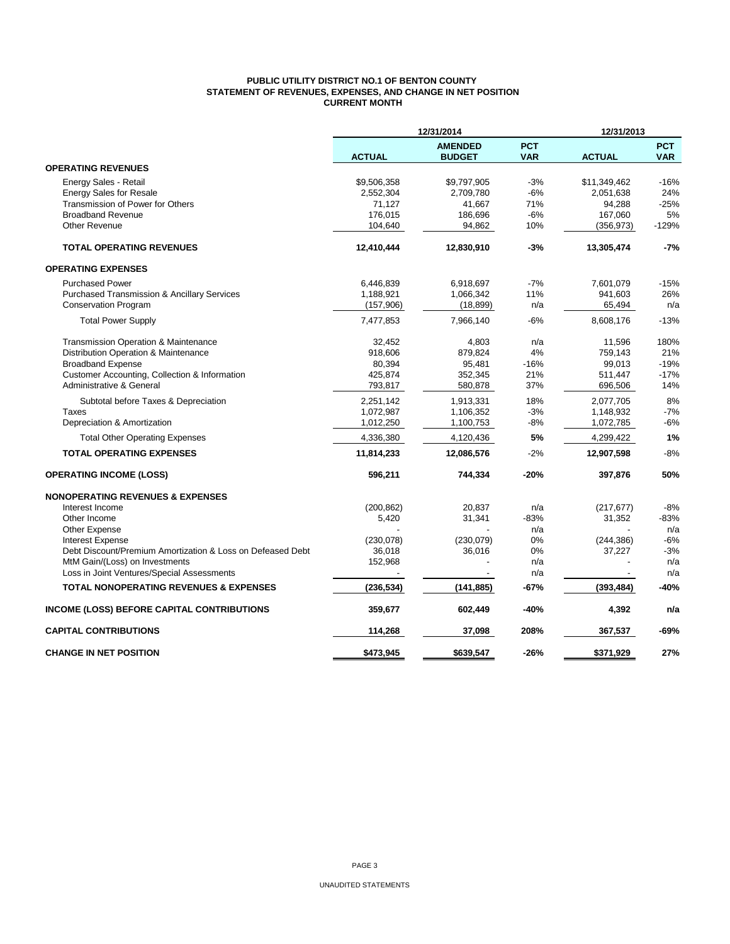## **PUBLIC UTILITY DISTRICT NO.1 OF BENTON COUNTY STATEMENT OF REVENUES, EXPENSES, AND CHANGE IN NET POSITION CURRENT MONTH**

|                                                                                              |               | 12/31/2014                      |                          | 12/31/2013    |                          |
|----------------------------------------------------------------------------------------------|---------------|---------------------------------|--------------------------|---------------|--------------------------|
|                                                                                              | <b>ACTUAL</b> | <b>AMENDED</b><br><b>BUDGET</b> | <b>PCT</b><br><b>VAR</b> | <b>ACTUAL</b> | <b>PCT</b><br><b>VAR</b> |
| <b>OPERATING REVENUES</b>                                                                    |               |                                 |                          |               |                          |
| Energy Sales - Retail                                                                        | \$9,506,358   | \$9,797,905                     | $-3%$                    | \$11,349,462  | $-16%$                   |
| <b>Energy Sales for Resale</b>                                                               | 2,552,304     | 2,709,780                       | $-6%$                    | 2,051,638     | 24%                      |
| Transmission of Power for Others                                                             | 71,127        | 41,667                          | 71%                      | 94,288        | $-25%$                   |
| <b>Broadband Revenue</b>                                                                     | 176,015       | 186,696                         | $-6%$                    | 167,060       | 5%                       |
| Other Revenue                                                                                | 104,640       | 94,862                          | 10%                      | (356, 973)    | $-129%$                  |
| <b>TOTAL OPERATING REVENUES</b>                                                              | 12,410,444    | 12,830,910                      | $-3%$                    | 13,305,474    | $-7%$                    |
| <b>OPERATING EXPENSES</b>                                                                    |               |                                 |                          |               |                          |
| <b>Purchased Power</b>                                                                       | 6,446,839     | 6,918,697                       | $-7%$                    | 7,601,079     | $-15%$                   |
| <b>Purchased Transmission &amp; Ancillary Services</b>                                       | 1,188,921     | 1,066,342                       | 11%                      | 941,603       | 26%                      |
| <b>Conservation Program</b>                                                                  | (157,906)     | (18, 899)                       | n/a                      | 65,494        | n/a                      |
| <b>Total Power Supply</b>                                                                    | 7,477,853     | 7,966,140                       | $-6%$                    | 8,608,176     | $-13%$                   |
| <b>Transmission Operation &amp; Maintenance</b>                                              | 32,452        | 4,803                           | n/a                      | 11,596        | 180%                     |
| Distribution Operation & Maintenance                                                         | 918,606       | 879,824                         | 4%                       | 759,143       | 21%                      |
| <b>Broadband Expense</b>                                                                     | 80,394        | 95,481                          | $-16%$                   | 99,013        | $-19%$                   |
| Customer Accounting, Collection & Information                                                | 425,874       | 352,345                         | 21%                      | 511,447       | $-17%$                   |
| Administrative & General                                                                     | 793,817       | 580,878                         | 37%                      | 696,506       | 14%                      |
| Subtotal before Taxes & Depreciation                                                         | 2,251,142     | 1,913,331                       | 18%                      | 2,077,705     | 8%                       |
| Taxes                                                                                        | 1,072,987     | 1,106,352                       | $-3%$                    | 1,148,932     | $-7%$                    |
| Depreciation & Amortization                                                                  | 1,012,250     | 1,100,753                       | $-8%$                    | 1,072,785     | $-6%$                    |
| <b>Total Other Operating Expenses</b>                                                        | 4,336,380     | 4,120,436                       | 5%                       | 4,299,422     | 1%                       |
| <b>TOTAL OPERATING EXPENSES</b>                                                              | 11,814,233    | 12,086,576                      | $-2%$                    | 12,907,598    | $-8%$                    |
| <b>OPERATING INCOME (LOSS)</b>                                                               | 596,211       | 744,334                         | -20%                     | 397,876       | 50%                      |
| <b>NONOPERATING REVENUES &amp; EXPENSES</b>                                                  |               |                                 |                          |               |                          |
| Interest Income                                                                              | (200, 862)    | 20,837                          | n/a                      | (217, 677)    | $-8%$                    |
| Other Income                                                                                 | 5,420         | 31,341                          | $-83%$                   | 31,352        | $-83%$                   |
| Other Expense                                                                                |               |                                 | n/a                      |               | n/a                      |
| <b>Interest Expense</b>                                                                      | (230,078)     | (230,079)                       | 0%                       | (244, 386)    | -6%                      |
| Debt Discount/Premium Amortization & Loss on Defeased Debt<br>MtM Gain/(Loss) on Investments | 36,018        | 36,016                          | 0%<br>n/a                | 37,227        | $-3%$<br>n/a             |
| Loss in Joint Ventures/Special Assessments                                                   | 152,968       |                                 | n/a                      |               | n/a                      |
|                                                                                              |               |                                 |                          |               |                          |
| <b>TOTAL NONOPERATING REVENUES &amp; EXPENSES</b>                                            | (236, 534)    | (141, 885)                      | -67%                     | (393, 484)    | $-40%$                   |
| INCOME (LOSS) BEFORE CAPITAL CONTRIBUTIONS                                                   | 359,677       | 602,449                         | -40%                     | 4,392         | n/a                      |
| <b>CAPITAL CONTRIBUTIONS</b>                                                                 | 114,268       | 37,098                          | 208%                     | 367,537       | -69%                     |
| <b>CHANGE IN NET POSITION</b>                                                                | \$473,945     | \$639,547                       | $-26%$                   | \$371,929     | 27%                      |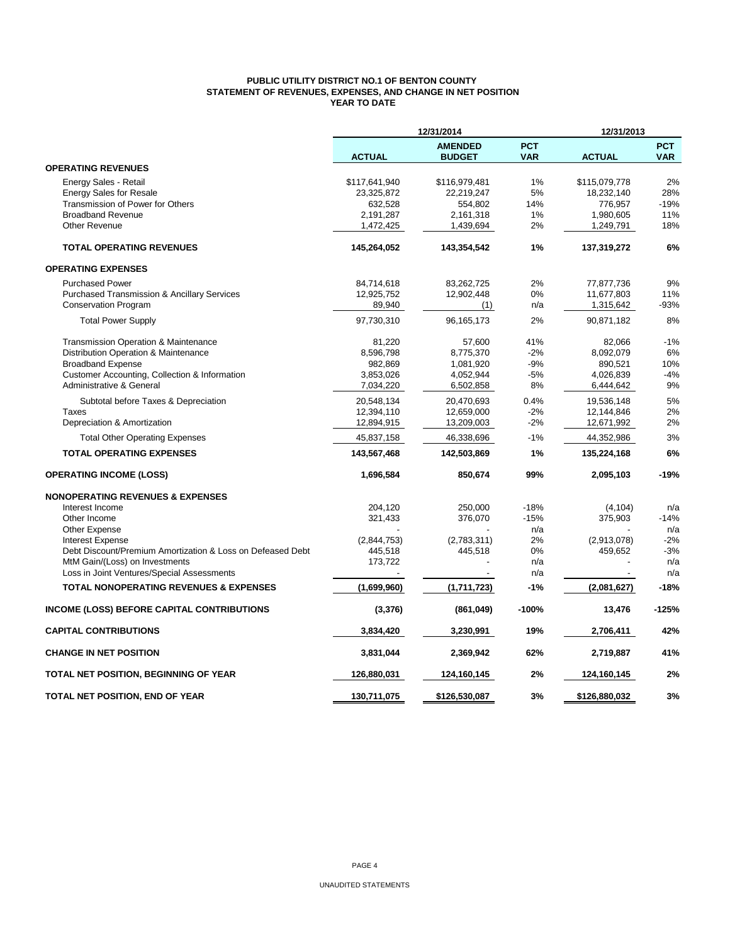## **PUBLIC UTILITY DISTRICT NO.1 OF BENTON COUNTY STATEMENT OF REVENUES, EXPENSES, AND CHANGE IN NET POSITION YEAR TO DATE**

|                                                            | 12/31/2014<br>12/31/2013 |                                 |                          |               |                          |
|------------------------------------------------------------|--------------------------|---------------------------------|--------------------------|---------------|--------------------------|
|                                                            | <b>ACTUAL</b>            | <b>AMENDED</b><br><b>BUDGET</b> | <b>PCT</b><br><b>VAR</b> | <b>ACTUAL</b> | <b>PCT</b><br><b>VAR</b> |
| <b>OPERATING REVENUES</b>                                  |                          |                                 |                          |               |                          |
| Energy Sales - Retail                                      | \$117,641,940            | \$116,979,481                   | 1%                       | \$115,079,778 | 2%                       |
| <b>Energy Sales for Resale</b>                             | 23,325,872               | 22,219,247                      | 5%                       | 18,232,140    | 28%                      |
| Transmission of Power for Others                           | 632,528                  | 554,802                         | 14%                      | 776,957       | -19%                     |
| <b>Broadband Revenue</b>                                   | 2,191,287                | 2,161,318                       | 1%                       | 1,980,605     | 11%                      |
| <b>Other Revenue</b>                                       | 1,472,425                | 1,439,694                       | 2%                       | 1,249,791     | 18%                      |
| <b>TOTAL OPERATING REVENUES</b>                            | 145,264,052              | 143,354,542                     | 1%                       | 137,319,272   | 6%                       |
| <b>OPERATING EXPENSES</b>                                  |                          |                                 |                          |               |                          |
| <b>Purchased Power</b>                                     | 84,714,618               | 83,262,725                      | 2%                       | 77,877,736    | 9%                       |
| <b>Purchased Transmission &amp; Ancillary Services</b>     | 12,925,752               | 12,902,448                      | 0%                       | 11,677,803    | 11%                      |
| <b>Conservation Program</b>                                | 89,940                   | (1)                             | n/a                      | 1,315,642     | -93%                     |
| <b>Total Power Supply</b>                                  | 97,730,310               | 96,165,173                      | 2%                       | 90,871,182    | 8%                       |
| <b>Transmission Operation &amp; Maintenance</b>            | 81,220                   | 57,600                          | 41%                      | 82,066        | $-1%$                    |
| Distribution Operation & Maintenance                       | 8,596,798                | 8,775,370                       | $-2%$                    | 8,092,079     | 6%                       |
| <b>Broadband Expense</b>                                   | 982,869                  | 1,081,920                       | $-9%$                    | 890,521       | 10%                      |
| Customer Accounting, Collection & Information              | 3,853,026                | 4,052,944                       | $-5%$                    | 4,026,839     | $-4%$                    |
| Administrative & General                                   | 7,034,220                | 6,502,858                       | 8%                       | 6,444,642     | 9%                       |
| Subtotal before Taxes & Depreciation                       | 20,548,134               | 20,470,693                      | 0.4%                     | 19,536,148    | 5%                       |
| Taxes                                                      | 12,394,110               | 12,659,000                      | $-2%$                    | 12,144,846    | 2%                       |
| Depreciation & Amortization                                | 12,894,915               | 13,209,003                      | $-2%$                    | 12,671,992    | 2%                       |
| <b>Total Other Operating Expenses</b>                      | 45,837,158               | 46,338,696                      | $-1%$                    | 44,352,986    | 3%                       |
| <b>TOTAL OPERATING EXPENSES</b>                            | 143,567,468              | 142,503,869                     | 1%                       | 135,224,168   | 6%                       |
| <b>OPERATING INCOME (LOSS)</b>                             | 1,696,584                | 850,674                         | 99%                      | 2,095,103     | -19%                     |
| <b>NONOPERATING REVENUES &amp; EXPENSES</b>                |                          |                                 |                          |               |                          |
| Interest Income                                            | 204,120                  | 250,000                         | $-18%$                   | (4, 104)      | n/a                      |
| Other Income                                               | 321,433                  | 376,070                         | $-15%$                   | 375,903       | $-14%$                   |
| Other Expense                                              |                          |                                 | n/a                      |               | n/a                      |
| <b>Interest Expense</b>                                    | (2,844,753)              | (2,783,311)                     | 2%                       | (2,913,078)   | $-2%$                    |
| Debt Discount/Premium Amortization & Loss on Defeased Debt | 445,518                  | 445,518                         | 0%                       | 459,652       | $-3%$                    |
| MtM Gain/(Loss) on Investments                             | 173,722                  |                                 | n/a                      |               | n/a                      |
| Loss in Joint Ventures/Special Assessments                 | $\overline{\phantom{a}}$ |                                 | n/a                      |               | n/a                      |
| <b>TOTAL NONOPERATING REVENUES &amp; EXPENSES</b>          | (1,699,960)              | (1,711,723)                     | $-1%$                    | (2,081,627)   | $-18%$                   |
| <b>INCOME (LOSS) BEFORE CAPITAL CONTRIBUTIONS</b>          | (3, 376)                 | (861, 049)                      | $-100%$                  | 13,476        | $-125%$                  |
| <b>CAPITAL CONTRIBUTIONS</b>                               | 3,834,420                | 3,230,991                       | 19%                      | 2,706,411     | 42%                      |
| <b>CHANGE IN NET POSITION</b>                              | 3,831,044                | 2,369,942                       | 62%                      | 2,719,887     | 41%                      |
| TOTAL NET POSITION, BEGINNING OF YEAR                      | 126,880,031              | 124,160,145                     | 2%                       | 124,160,145   | 2%                       |
| TOTAL NET POSITION, END OF YEAR                            | 130,711,075              | \$126,530,087                   | 3%                       | \$126,880,032 | 3%                       |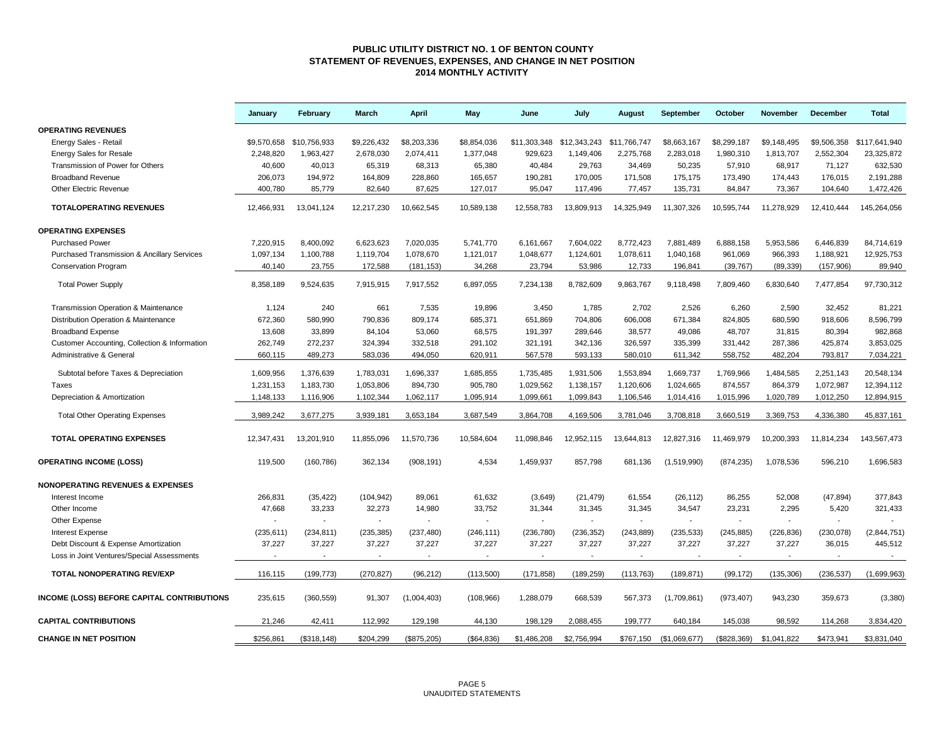### **PUBLIC UTILITY DISTRICT NO. 1 OF BENTON COUNTY STATEMENT OF REVENUES, EXPENSES, AND CHANGE IN NET POSITION 2014 MONTHLY ACTIVITY**

|                                               | January                | February                 | March                    | <b>April</b>             | May                  | June                     | July                     | August       | September                | October                  | <b>November</b>          | December               | <b>Total</b>             |
|-----------------------------------------------|------------------------|--------------------------|--------------------------|--------------------------|----------------------|--------------------------|--------------------------|--------------|--------------------------|--------------------------|--------------------------|------------------------|--------------------------|
| <b>OPERATING REVENUES</b>                     |                        |                          |                          |                          |                      |                          |                          |              |                          |                          |                          |                        |                          |
| Energy Sales - Retail                         |                        | \$9,570,658 \$10,756,933 | \$9,226,432              | \$8,203,336              | \$8,854,036          | \$11,303,348             | \$12,343,243             | \$11,766,747 | \$8,663,167              | \$8,299,187              | \$9,148,495              | \$9,506,358            | \$117,641,940            |
| <b>Energy Sales for Resale</b>                | 2,248,820              | 1,963,427                | 2,678,030                | 2,074,411                | 1,377,048            | 929,623                  | 1,149,406                | 2,275,768    | 2,283,018                | 1,980,310                | 1,813,707                | 2,552,304              | 23,325,872               |
| Transmission of Power for Others              | 40,600                 | 40,013                   | 65,319                   | 68.313                   | 65,380               | 40,484                   | 29,763                   | 34,469       | 50,235                   | 57,910                   | 68,917                   | 71.127                 | 632,530                  |
| <b>Broadband Revenue</b>                      | 206,073                | 194,972                  | 164,809                  | 228,860                  | 165,657              | 190,281                  | 170,005                  | 171,508      | 175,175                  | 173,490                  | 174,443                  | 176,015                | 2,191,288                |
| <b>Other Electric Revenue</b>                 | 400,780                | 85,779                   | 82,640                   | 87,625                   | 127,017              | 95,047                   | 117,496                  | 77,457       | 135,731                  | 84,847                   | 73,367                   | 104,640                | 1,472,426                |
| <b>TOTALOPERATING REVENUES</b>                | 12,466,931             | 13,041,124               | 12,217,230               | 10,662,545               | 10,589,138           | 12,558,783               | 13,809,913               | 14,325,949   | 11,307,326               | 10,595,744               | 11,278,929               | 12,410,444             | 145,264,056              |
| <b>OPERATING EXPENSES</b>                     |                        |                          |                          |                          |                      |                          |                          |              |                          |                          |                          |                        |                          |
| <b>Purchased Power</b>                        | 7,220,915              | 8,400,092                | 6,623,623                | 7,020,035                | 5,741,770            | 6,161,667                | 7,604,022                | 8,772,423    | 7,881,489                | 6,888,158                | 5,953,586                | 6,446,839              | 84,714,619               |
| Purchased Transmission & Ancillary Services   | 1,097,134              | 1,100,788                | 1,119,704                | 1,078,670                | 1,121,017            | 1,048,677                | 1,124,601                | 1,078,611    | 1,040,168                | 961,069                  | 966,393                  | 1,188,921              | 12,925,753               |
| <b>Conservation Program</b>                   | 40.140                 | 23.755                   | 172,588                  | (181, 153)               | 34,268               | 23,794                   | 53.986                   | 12.733       | 196,841                  | (39, 767)                | (89, 339)                | (157, 906)             | 89,940                   |
| <b>Total Power Supply</b>                     | 8,358,189              | 9,524,635                | 7,915,915                | 7,917,552                | 6,897,055            | 7,234,138                | 8,782,609                | 9,863,767    | 9,118,498                | 7,809,460                | 6,830,640                | 7,477,854              | 97,730,312               |
| Transmission Operation & Maintenance          | 1,124                  | 240                      | 661                      | 7,535                    | 19,896               | 3,450                    | 1,785                    | 2,702        | 2,526                    | 6,260                    | 2,590                    | 32,452                 | 81,221                   |
| Distribution Operation & Maintenance          | 672,360                | 580,990                  | 790,836                  | 809,174                  | 685,371              | 651,869                  | 704,806                  | 606,008      | 671,384                  | 824,805                  | 680,590                  | 918,606                | 8,596,799                |
| <b>Broadband Expense</b>                      | 13.608                 | 33.899                   | 84.104                   | 53.060                   | 68.575               | 191,397                  | 289.646                  | 38.577       | 49,086                   | 48.707                   | 31.815                   | 80.394                 | 982,868                  |
| Customer Accounting, Collection & Information | 262,749                | 272,237                  | 324,394                  | 332,518                  | 291,102              | 321,191                  | 342,136                  | 326,597      | 335,399                  | 331,442                  | 287,386                  | 425,874                | 3,853,025                |
| Administrative & General                      | 660,115                | 489,273                  | 583,036                  | 494,050                  | 620,911              | 567,578                  | 593,133                  | 580,010      | 611,342                  | 558,752                  | 482,204                  | 793,817                | 7,034,221                |
|                                               |                        |                          |                          |                          |                      |                          |                          |              |                          |                          |                          |                        |                          |
| Subtotal before Taxes & Depreciation          | 1,609,956              | 1,376,639                | 1,783,031                | 1,696,337                | 1,685,855            | 1,735,485                | 1,931,506                | 1,553,894    | 1,669,737                | 1,769,966                | 1,484,585                | 2,251,143              | 20,548,134               |
| <b>Taxes</b>                                  | 1,231,153<br>1,148,133 | 1,183,730                | 1,053,806<br>1,102,344   | 894,730<br>1,062,117     | 905,780<br>1,095,914 | 1,029,562<br>1,099,661   | 1,138,157<br>1,099,843   | 1,120,606    | 1,024,665                | 874,557<br>1,015,996     | 864,379<br>1,020,789     | 1,072,987<br>1,012,250 | 12,394,112<br>12,894,915 |
| Depreciation & Amortization                   |                        | 1,116,906                |                          |                          |                      |                          |                          | 1,106,546    | 1,014,416                |                          |                          |                        |                          |
| <b>Total Other Operating Expenses</b>         | 3,989,242              | 3,677,275                | 3,939,181                | 3,653,184                | 3,687,549            | 3,864,708                | 4,169,506                | 3,781,046    | 3,708,818                | 3,660,519                | 3,369,753                | 4,336,380              | 45,837,161               |
| <b>TOTAL OPERATING EXPENSES</b>               | 12,347,431             | 13,201,910               | 11,855,096               | 11,570,736               | 10,584,604           | 11,098,846               | 12,952,115               | 13,644,813   | 12,827,316               | 11,469,979               | 10,200,393               | 11,814,234             | 143,567,473              |
| <b>OPERATING INCOME (LOSS)</b>                | 119,500                | (160, 786)               | 362,134                  | (908, 191)               | 4,534                | 1,459,937                | 857,798                  | 681,136      | (1,519,990)              | (874, 235)               | 1,078,536                | 596,210                | 1,696,583                |
| <b>NONOPERATING REVENUES &amp; EXPENSES</b>   |                        |                          |                          |                          |                      |                          |                          |              |                          |                          |                          |                        |                          |
| Interest Income                               | 266,831                | (35, 422)                | (104, 942)               | 89,061                   | 61,632               | (3,649)                  | (21, 479)                | 61,554       | (26, 112)                | 86,255                   | 52,008                   | (47, 894)              | 377,843                  |
| Other Income                                  | 47,668                 | 33,233                   | 32,273                   | 14,980                   | 33,752               | 31,344                   | 31,345                   | 31,345       | 34,547                   | 23,231                   | 2,295                    | 5,420                  | 321,433                  |
| Other Expense                                 |                        |                          | $\overline{\phantom{a}}$ |                          |                      | $\overline{\phantom{a}}$ | $\overline{\phantom{a}}$ | $\sim$       |                          | $\sim$                   | $\overline{\phantom{a}}$ | $\mathbf{r}$           |                          |
| <b>Interest Expense</b>                       | (235, 611)             | (234, 811)               | (235, 385)               | (237, 480)               | (246, 111)           | (236, 780)               | (236, 352)               | (243, 889)   | (235, 533)               | (245, 885)               | (226, 836)               | (230, 078)             | (2,844,751)              |
| Debt Discount & Expense Amortization          | 37,227                 | 37,227                   | 37,227                   | 37,227                   | 37,227               | 37,227                   | 37,227                   | 37,227       | 37,227                   | 37,227                   | 37,227                   | 36,015                 | 445,512                  |
| Loss in Joint Ventures/Special Assessments    |                        |                          | $\overline{\phantom{a}}$ | $\overline{\phantom{a}}$ |                      |                          |                          |              | $\overline{\phantom{a}}$ | $\overline{\phantom{a}}$ | $\blacksquare$           | $\sim$                 | $\sim$                   |
| TOTAL NONOPERATING REV/EXP                    | 116,115                | (199, 773)               | (270, 827)               | (96, 212)                | (113,500)            | (171.858)                | (189, 259)               | (113, 763)   | (189, 871)               | (99, 172)                | (135, 306)               | (236, 537)             | (1,699,963)              |
| INCOME (LOSS) BEFORE CAPITAL CONTRIBUTIONS    | 235,615                | (360, 559)               | 91,307                   | (1,004,403)              | (108, 966)           | 1,288,079                | 668,539                  | 567,373      | (1,709,861)              | (973, 407)               | 943,230                  | 359,673                | (3,380)                  |
| <b>CAPITAL CONTRIBUTIONS</b>                  | 21,246                 | 42,411                   | 112,992                  | 129,198                  | 44,130               | 198,129                  | 2,088,455                | 199,777      | 640,184                  | 145,038                  | 98,592                   | 114,268                | 3,834,420                |
| <b>CHANGE IN NET POSITION</b>                 | \$256,861              | (S318.148)               | \$204,299                | (\$875,205)              | (S64.836)            | \$1,486,208              | \$2.756.994              | \$767.150    | (S1.069.677)             | (S828.369)               | \$1.041.822              | \$473.941              | \$3.831.040              |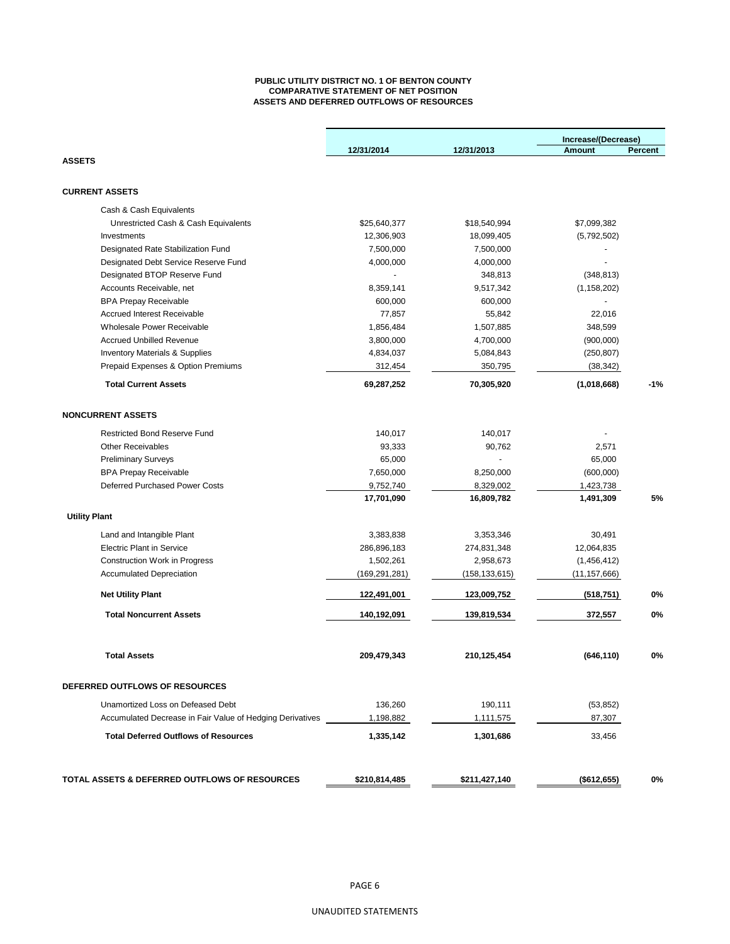## **PUBLIC UTILITY DISTRICT NO. 1 OF BENTON COUNTY COMPARATIVE STATEMENT OF NET POSITION ASSETS AND DEFERRED OUTFLOWS OF RESOURCES**

|                                                           |                 |                 | Increase/(Decrease) |         |  |
|-----------------------------------------------------------|-----------------|-----------------|---------------------|---------|--|
|                                                           | 12/31/2014      | 12/31/2013      | Amount              | Percent |  |
| <b>ASSETS</b>                                             |                 |                 |                     |         |  |
|                                                           |                 |                 |                     |         |  |
| <b>CURRENT ASSETS</b>                                     |                 |                 |                     |         |  |
| Cash & Cash Equivalents                                   |                 |                 |                     |         |  |
| Unrestricted Cash & Cash Equivalents                      | \$25,640,377    | \$18,540,994    | \$7,099,382         |         |  |
| Investments                                               | 12,306,903      | 18,099,405      | (5,792,502)         |         |  |
| Designated Rate Stabilization Fund                        | 7,500,000       | 7,500,000       |                     |         |  |
| Designated Debt Service Reserve Fund                      | 4,000,000       | 4,000,000       |                     |         |  |
| Designated BTOP Reserve Fund                              |                 | 348,813         | (348, 813)          |         |  |
| Accounts Receivable, net                                  | 8,359,141       | 9,517,342       | (1, 158, 202)       |         |  |
| <b>BPA Prepay Receivable</b>                              | 600,000         | 600,000         |                     |         |  |
| <b>Accrued Interest Receivable</b>                        | 77,857          | 55,842          | 22,016              |         |  |
| Wholesale Power Receivable                                | 1,856,484       | 1,507,885       | 348,599             |         |  |
| <b>Accrued Unbilled Revenue</b>                           | 3,800,000       | 4,700,000       | (900,000)           |         |  |
| <b>Inventory Materials &amp; Supplies</b>                 | 4,834,037       | 5,084,843       | (250, 807)          |         |  |
| Prepaid Expenses & Option Premiums                        | 312,454         | 350,795         | (38, 342)           |         |  |
| <b>Total Current Assets</b>                               | 69,287,252      | 70,305,920      | (1,018,668)         | $-1%$   |  |
| <b>NONCURRENT ASSETS</b>                                  |                 |                 |                     |         |  |
| <b>Restricted Bond Reserve Fund</b>                       | 140,017         | 140,017         |                     |         |  |
| <b>Other Receivables</b>                                  | 93,333          | 90,762          | 2,571               |         |  |
| <b>Preliminary Surveys</b>                                | 65,000          |                 | 65,000              |         |  |
| <b>BPA Prepay Receivable</b>                              | 7,650,000       | 8,250,000       | (600,000)           |         |  |
| Deferred Purchased Power Costs                            | 9,752,740       | 8,329,002       | 1,423,738           |         |  |
|                                                           | 17,701,090      | 16,809,782      | 1,491,309           | 5%      |  |
| <b>Utility Plant</b>                                      |                 |                 |                     |         |  |
|                                                           |                 |                 |                     |         |  |
| Land and Intangible Plant                                 | 3,383,838       | 3,353,346       | 30,491              |         |  |
| <b>Electric Plant in Service</b>                          | 286,896,183     | 274,831,348     | 12,064,835          |         |  |
| Construction Work in Progress                             | 1,502,261       | 2,958,673       | (1,456,412)         |         |  |
| <b>Accumulated Depreciation</b>                           | (169, 291, 281) | (158, 133, 615) | (11,157,666)        |         |  |
| <b>Net Utility Plant</b>                                  | 122,491,001     | 123,009,752     | (518, 751)          | 0%      |  |
| <b>Total Noncurrent Assets</b>                            | 140,192,091     | 139,819,534     | 372,557             | 0%      |  |
| <b>Total Assets</b>                                       | 209,479,343     | 210,125,454     | (646, 110)          | 0%      |  |
|                                                           |                 |                 |                     |         |  |
| DEFERRED OUTFLOWS OF RESOURCES                            |                 |                 |                     |         |  |
| Unamortized Loss on Defeased Debt                         | 136,260         | 190,111         | (53, 852)           |         |  |
| Accumulated Decrease in Fair Value of Hedging Derivatives | 1,198,882       | 1,111,575       | 87,307              |         |  |
| <b>Total Deferred Outflows of Resources</b>               | 1,335,142       | 1,301,686       | 33,456              |         |  |
|                                                           |                 |                 |                     |         |  |
| TOTAL ASSETS & DEFERRED OUTFLOWS OF RESOURCES             | \$210,814,485   | \$211,427,140   | (\$612,655)         | 0%      |  |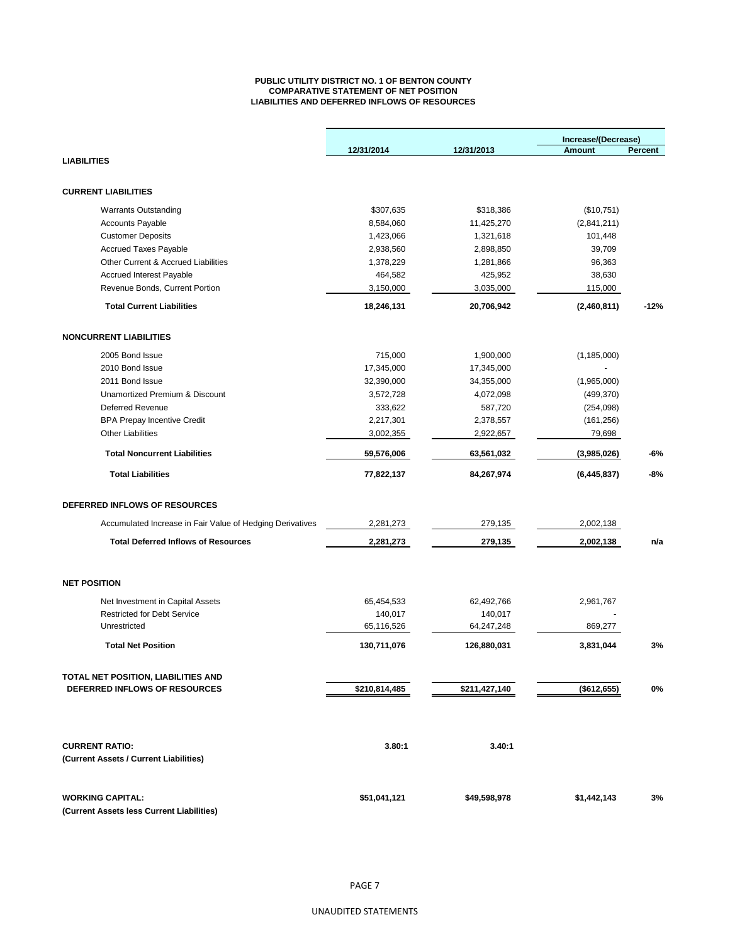## **PUBLIC UTILITY DISTRICT NO. 1 OF BENTON COUNTY COMPARATIVE STATEMENT OF NET POSITION LIABILITIES AND DEFERRED INFLOWS OF RESOURCES**

|                                                           |               |               | Increase/(Decrease) |         |  |
|-----------------------------------------------------------|---------------|---------------|---------------------|---------|--|
|                                                           | 12/31/2014    | 12/31/2013    | <b>Amount</b>       | Percent |  |
| <b>LIABILITIES</b>                                        |               |               |                     |         |  |
|                                                           |               |               |                     |         |  |
| <b>CURRENT LIABILITIES</b>                                |               |               |                     |         |  |
| <b>Warrants Outstanding</b>                               | \$307,635     | \$318,386     | (\$10,751)          |         |  |
| <b>Accounts Payable</b>                                   | 8,584,060     | 11,425,270    | (2,841,211)         |         |  |
| <b>Customer Deposits</b>                                  | 1,423,066     | 1,321,618     | 101,448             |         |  |
| <b>Accrued Taxes Payable</b>                              | 2,938,560     | 2,898,850     | 39,709              |         |  |
| Other Current & Accrued Liabilities                       | 1,378,229     | 1,281,866     | 96,363              |         |  |
| <b>Accrued Interest Payable</b>                           | 464,582       | 425,952       | 38,630              |         |  |
| Revenue Bonds, Current Portion                            | 3,150,000     | 3,035,000     | 115,000             |         |  |
| <b>Total Current Liabilities</b>                          | 18,246,131    | 20,706,942    | (2,460,811)         | $-12%$  |  |
| <b>NONCURRENT LIABILITIES</b>                             |               |               |                     |         |  |
|                                                           |               |               |                     |         |  |
| 2005 Bond Issue                                           | 715,000       | 1,900,000     | (1, 185, 000)       |         |  |
| 2010 Bond Issue                                           | 17,345,000    | 17,345,000    |                     |         |  |
| 2011 Bond Issue                                           | 32,390,000    | 34,355,000    | (1,965,000)         |         |  |
| Unamortized Premium & Discount                            | 3,572,728     | 4,072,098     | (499, 370)          |         |  |
| <b>Deferred Revenue</b>                                   | 333,622       | 587,720       | (254, 098)          |         |  |
| <b>BPA Prepay Incentive Credit</b>                        | 2,217,301     | 2,378,557     | (161, 256)          |         |  |
| <b>Other Liabilities</b>                                  | 3,002,355     | 2,922,657     | 79,698              |         |  |
| <b>Total Noncurrent Liabilities</b>                       | 59,576,006    | 63,561,032    | (3,985,026)         | -6%     |  |
| <b>Total Liabilities</b>                                  | 77,822,137    | 84,267,974    | (6, 445, 837)       | -8%     |  |
| DEFERRED INFLOWS OF RESOURCES                             |               |               |                     |         |  |
| Accumulated Increase in Fair Value of Hedging Derivatives | 2,281,273     | 279,135       | 2,002,138           |         |  |
| <b>Total Deferred Inflows of Resources</b>                | 2,281,273     | 279,135       | 2,002,138           | n/a     |  |
|                                                           |               |               |                     |         |  |
| <b>NET POSITION</b>                                       |               |               |                     |         |  |
| Net Investment in Capital Assets                          | 65,454,533    | 62,492,766    | 2,961,767           |         |  |
| <b>Restricted for Debt Service</b>                        | 140,017       | 140,017       |                     |         |  |
| Unrestricted                                              | 65,116,526    | 64,247,248    | 869,277             |         |  |
| <b>Total Net Position</b>                                 | 130,711,076   | 126,880,031   | 3,831,044           | 3%      |  |
| TOTAL NET POSITION, LIABILITIES AND                       |               |               |                     |         |  |
| DEFERRED INFLOWS OF RESOURCES                             | \$210,814,485 | \$211,427,140 | (\$612,655)         | 0%      |  |
|                                                           |               |               |                     |         |  |
| <b>CURRENT RATIO:</b>                                     | 3.80:1        | 3.40:1        |                     |         |  |
| (Current Assets / Current Liabilities)                    |               |               |                     |         |  |
| <b>WORKING CAPITAL:</b>                                   | \$51,041,121  | \$49,598,978  | \$1,442,143         | 3%      |  |
| (Current Assets less Current Liabilities)                 |               |               |                     |         |  |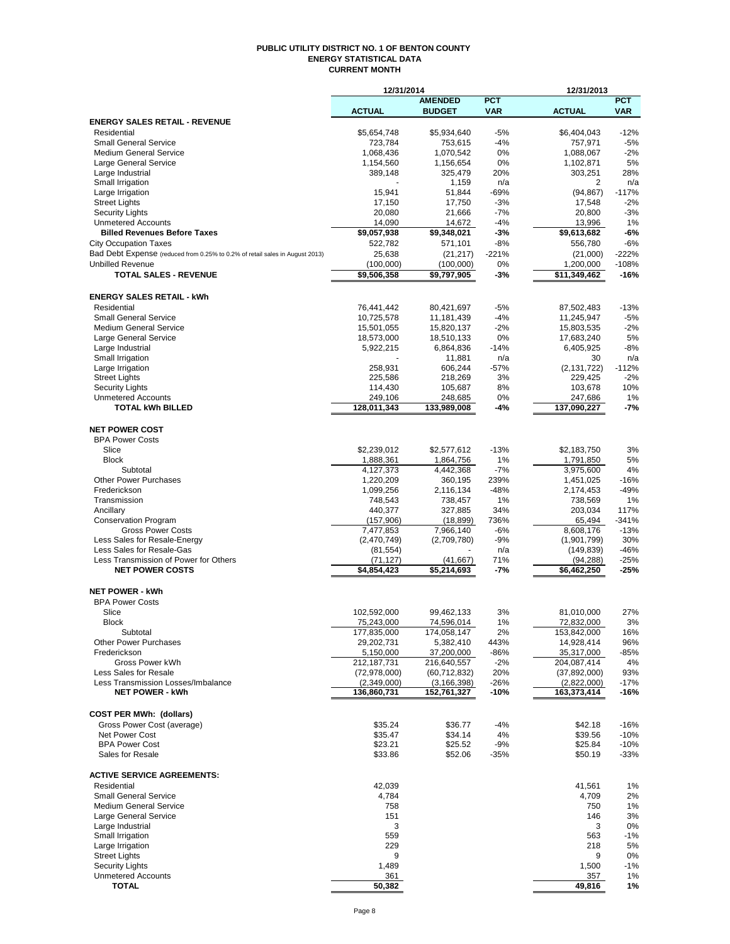#### **PUBLIC UTILITY DISTRICT NO. 1 OF BENTON COUNTY ENERGY STATISTICAL DATA CURRENT MONTH**

|                                                                              | 12/31/2014              |                         |             | 12/31/2013              |            |
|------------------------------------------------------------------------------|-------------------------|-------------------------|-------------|-------------------------|------------|
|                                                                              |                         | <b>AMENDED</b>          | <b>PCT</b>  |                         | <b>PCT</b> |
|                                                                              | <b>ACTUAL</b>           | <b>BUDGET</b>           | <b>VAR</b>  | <b>ACTUAL</b>           | <b>VAR</b> |
| <b>ENERGY SALES RETAIL - REVENUE</b>                                         |                         |                         |             |                         |            |
| Residential                                                                  | \$5,654,748             | \$5,934,640             | $-5%$       | \$6,404,043             | $-12%$     |
| <b>Small General Service</b>                                                 | 723,784                 | 753,615                 | $-4%$       | 757,971                 | $-5%$      |
| <b>Medium General Service</b>                                                | 1,068,436               | 1,070,542               | 0%          | 1,088,067               | $-2%$      |
| Large General Service<br>Large Industrial                                    | 1,154,560<br>389,148    | 1,156,654<br>325,479    | 0%<br>20%   | 1,102,871               | 5%<br>28%  |
| Small Irrigation                                                             |                         | 1,159                   | n/a         | 303,251<br>2            | n/a        |
| Large Irrigation                                                             | 15,941                  | 51,844                  | $-69%$      | (94, 867)               | $-117%$    |
| <b>Street Lights</b>                                                         | 17,150                  | 17,750                  | $-3%$       | 17,548                  | $-2%$      |
| <b>Security Lights</b>                                                       | 20,080                  | 21,666                  | $-7%$       | 20,800                  | $-3%$      |
| <b>Unmetered Accounts</b>                                                    | 14,090                  | 14,672                  | $-4%$       | 13,996                  | 1%         |
| <b>Billed Revenues Before Taxes</b>                                          | \$9,057,938             | \$9,348,021             | -3%         | \$9,613,682             | -6%        |
| <b>City Occupation Taxes</b>                                                 | 522,782                 | 571,101                 | $-8%$       | 556,780                 | $-6%$      |
| Bad Debt Expense (reduced from 0.25% to 0.2% of retail sales in August 2013) | 25,638                  | (21, 217)               | -221%       | (21,000)                | $-222%$    |
| <b>Unbilled Revenue</b>                                                      | (100,000)               | (100,000)               | 0%          | 1,200,000               | $-108%$    |
| <b>TOTAL SALES - REVENUE</b>                                                 | $\overline{59,506,358}$ | $\overline{59,797,905}$ | -3%         | $\overline{11,349,462}$ | $-16%$     |
|                                                                              |                         |                         |             |                         |            |
| <b>ENERGY SALES RETAIL - kWh</b>                                             |                         |                         |             |                         |            |
| Residential                                                                  | 76,441,442              | 80,421,697              | $-5%$       | 87,502,483              | $-13%$     |
| <b>Small General Service</b>                                                 | 10,725,578              | 11,181,439              | -4%         | 11,245,947              | $-5%$      |
| <b>Medium General Service</b>                                                | 15,501,055              | 15,820,137              | $-2%$       | 15,803,535              | $-2%$      |
| Large General Service                                                        | 18,573,000              | 18,510,133              | 0%          | 17,683,240              | 5%         |
| Large Industrial                                                             | 5,922,215               | 6,864,836               | $-14%$      | 6,405,925               | $-8%$      |
| Small Irrigation                                                             |                         | 11,881                  | n/a         | 30                      | n/a        |
| Large Irrigation                                                             | 258,931                 | 606,244                 | $-57%$      | (2, 131, 722)           | $-112%$    |
| <b>Street Lights</b>                                                         | 225,586                 | 218,269                 | 3%          | 229,425                 | $-2%$      |
| <b>Security Lights</b>                                                       | 114,430                 | 105,687                 | 8%          | 103,678                 | 10%        |
| <b>Unmetered Accounts</b>                                                    | 249,106                 | 248,685                 | 0%          | 247,686                 | 1%         |
| <b>TOTAL kWh BILLED</b>                                                      | 128,011,343             | 133,989,008             | -4%         | 137,090,227             | -7%        |
|                                                                              |                         |                         |             |                         |            |
| <b>NET POWER COST</b>                                                        |                         |                         |             |                         |            |
| <b>BPA Power Costs</b>                                                       |                         |                         |             |                         |            |
| Slice                                                                        | \$2,239,012             | \$2,577,612             | $-13%$      | \$2,183,750             | 3%         |
| <b>Block</b>                                                                 | 1,888,361               | 1,864,756               | 1%          | 1,791,850               | 5%         |
| Subtotal                                                                     | 4,127,373               | 4,442,368               | $-7%$       | 3,975,600               | 4%         |
| <b>Other Power Purchases</b>                                                 | 1,220,209               | 360,195                 | 239%        | 1,451,025               | $-16%$     |
| Frederickson                                                                 | 1,099,256               | 2,116,134               | $-48%$      | 2,174,453               | $-49%$     |
| Transmission                                                                 | 748,543                 | 738,457                 | 1%          | 738,569                 | 1%<br>117% |
| Ancillary                                                                    | 440,377                 | 327,885                 | 34%<br>736% | 203,034                 | $-341%$    |
| <b>Conservation Program</b><br><b>Gross Power Costs</b>                      | (157, 906)<br>7,477,853 | (18, 899)<br>7,966,140  | $-6%$       | 65,494<br>8,608,176     | $-13%$     |
| Less Sales for Resale-Energy                                                 | (2,470,749)             | (2,709,780)             | -9%         | (1,901,799)             | 30%        |
| Less Sales for Resale-Gas                                                    | (81, 554)               |                         | n/a         | (149, 839)              | $-46%$     |
| Less Transmission of Power for Others                                        | (71, 127)               | (41, 667)               | 71%         | (94, 288)               | $-25%$     |
| <b>NET POWER COSTS</b>                                                       | \$4,854,423             | \$5,214,693             | -7%         | \$6,462,250             | $-25%$     |
|                                                                              |                         |                         |             |                         |            |
| <b>NET POWER - kWh</b>                                                       |                         |                         |             |                         |            |
| <b>BPA Power Costs</b>                                                       |                         |                         |             |                         |            |
| Slice                                                                        | 102,592,000             | 99,462,133              | 3%          | 81,010,000              | 27%        |
| <b>Block</b>                                                                 | 75,243,000              | 74,596,014              | 1%          | 72,832,000              | 3%         |
| Subtotal                                                                     | 177,835,000             | 174,058,147             | 2%          | 153,842,000             | 16%        |
| <b>Other Power Purchases</b>                                                 | 29,202,731              | 5,382,410               | 443%        | 14,928,414              | 96%        |
| Frederickson                                                                 | 5,150,000               | 37,200,000              | -86%        | 35,317,000              | -85%       |
| Gross Power kWh                                                              | 212, 187, 731           | 216,640,557             | $-2%$       | 204,087,414             | 4%         |
| Less Sales for Resale                                                        | (72, 978, 000)          | (60, 712, 832)          | 20%         | (37,892,000)            | 93%        |
| Less Transmission Losses/Imbalance                                           | (2,349,000)             | (3, 166, 398)           | $-26%$      | (2,822,000)             | $-17%$     |
| <b>NET POWER - kWh</b>                                                       | 136,860,731             | 152,761,327             | $-10%$      | 163,373,414             | $-16%$     |
|                                                                              |                         |                         |             |                         |            |
| <b>COST PER MWh: (dollars)</b>                                               |                         |                         |             |                         |            |
| Gross Power Cost (average)                                                   | \$35.24                 | \$36.77                 | -4%         | \$42.18                 | $-16%$     |
| Net Power Cost                                                               | \$35.47                 | \$34.14                 | 4%          | \$39.56                 | $-10%$     |
| <b>BPA Power Cost</b>                                                        | \$23.21                 | \$25.52                 | $-9%$       | \$25.84                 | $-10%$     |
| Sales for Resale                                                             | \$33.86                 | \$52.06                 | $-35%$      | \$50.19                 | $-33%$     |
|                                                                              |                         |                         |             |                         |            |
| <b>ACTIVE SERVICE AGREEMENTS:</b>                                            |                         |                         |             |                         |            |
| Residential<br><b>Small General Service</b>                                  | 42,039                  |                         |             | 41,561                  | 1%         |
| <b>Medium General Service</b>                                                | 4,784<br>758            |                         |             | 4,709<br>750            | 2%<br>1%   |
| <b>Large General Service</b>                                                 | 151                     |                         |             | 146                     | 3%         |
| Large Industrial                                                             | 3                       |                         |             | 3                       | 0%         |
| Small Irrigation                                                             | 559                     |                         |             | 563                     | $-1%$      |
| Large Irrigation                                                             | 229                     |                         |             | 218                     | 5%         |
| <b>Street Lights</b>                                                         | 9                       |                         |             | 9                       | 0%         |
| <b>Security Lights</b>                                                       | 1,489                   |                         |             | 1,500                   | $-1%$      |
| <b>Unmetered Accounts</b>                                                    | 361                     |                         |             | 357                     | 1%         |
| <b>TOTAL</b>                                                                 | 50,382                  |                         |             | 49,816                  | 1%         |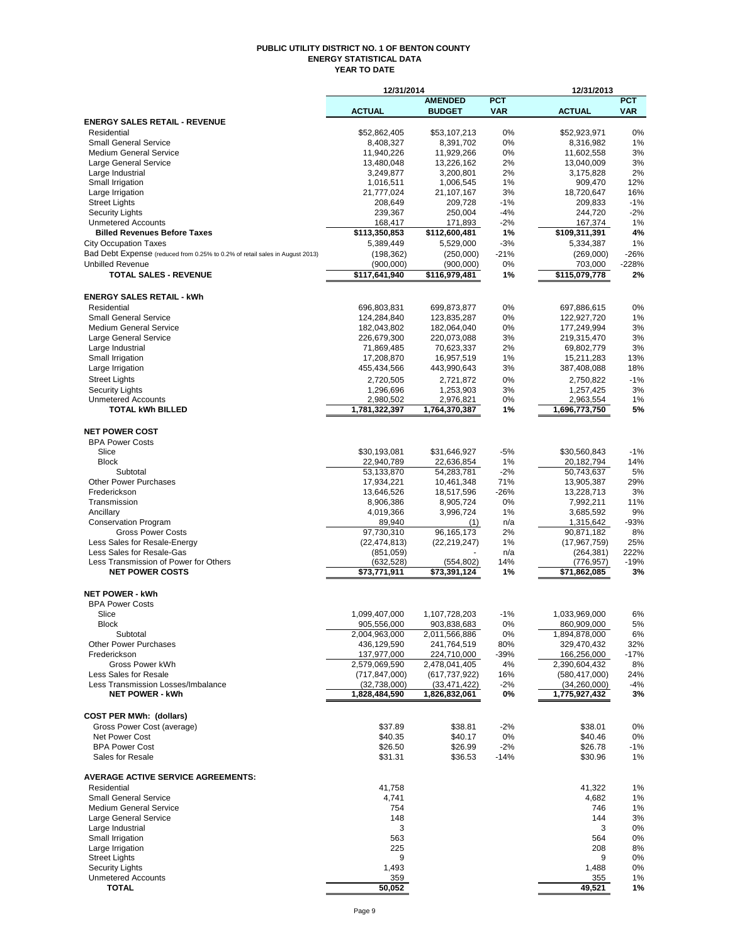#### **PUBLIC UTILITY DISTRICT NO. 1 OF BENTON COUNTY ENERGY STATISTICAL DATA YEAR TO DATE**

|                                                                              | 12/31/2014                       |                                  |             | 12/31/2013                       |                |
|------------------------------------------------------------------------------|----------------------------------|----------------------------------|-------------|----------------------------------|----------------|
|                                                                              |                                  | <b>AMENDED</b>                   | <b>PCT</b>  |                                  | <b>PCT</b>     |
|                                                                              | <b>ACTUAL</b>                    | <b>BUDGET</b>                    | <b>VAR</b>  | <b>ACTUAL</b>                    | <b>VAR</b>     |
| <b>ENERGY SALES RETAIL - REVENUE</b>                                         |                                  |                                  |             |                                  |                |
| Residential<br><b>Small General Service</b>                                  | \$52,862,405<br>8,408,327        | \$53,107,213<br>8,391,702        | 0%<br>0%    | \$52,923,971<br>8,316,982        | 0%<br>1%       |
| <b>Medium General Service</b>                                                | 11,940,226                       | 11,929,266                       | 0%          | 11,602,558                       | 3%             |
| Large General Service                                                        | 13,480,048                       | 13,226,162                       | 2%          | 13,040,009                       | 3%             |
| Large Industrial                                                             | 3.249.877                        | 3,200,801                        | 2%          | 3,175,828                        | 2%             |
| Small Irrigation                                                             | 1,016,511                        | 1,006,545                        | 1%          | 909,470                          | 12%            |
| Large Irrigation                                                             | 21,777,024                       | 21,107,167                       | 3%          | 18,720,647                       | 16%            |
| <b>Street Lights</b>                                                         | 208,649                          | 209,728                          | $-1%$       | 209,833                          | $-1%$          |
| <b>Security Lights</b>                                                       | 239,367                          | 250,004                          | -4%         | 244,720                          | $-2%$          |
| <b>Unmetered Accounts</b><br><b>Billed Revenues Before Taxes</b>             | 168,417<br>\$113,350,853         | 171,893<br>\$112,600,481         | $-2%$<br>1% | 167,374<br>\$109,311,391         | 1%<br>4%       |
| <b>City Occupation Taxes</b>                                                 | 5,389,449                        | 5,529,000                        | $-3%$       | 5,334,387                        | 1%             |
| Bad Debt Expense (reduced from 0.25% to 0.2% of retail sales in August 2013) | (198, 362)                       | (250,000)                        | $-21%$      | (269,000)                        | $-26%$         |
| <b>Unbilled Revenue</b>                                                      | (900,000)                        | (900,000)                        | 0%          | 703,000                          | $-228%$        |
| <b>TOTAL SALES - REVENUE</b>                                                 | \$117,641,940                    | \$116,979,481                    | 1%          | \$115,079,778                    | 2%             |
|                                                                              |                                  |                                  |             |                                  |                |
| <b>ENERGY SALES RETAIL - kWh</b>                                             |                                  |                                  |             |                                  |                |
| Residential                                                                  | 696,803,831                      | 699,873,877                      | 0%          | 697,886,615                      | 0%             |
| <b>Small General Service</b>                                                 | 124,284,840                      | 123.835.287                      | 0%          | 122,927,720                      | 1%             |
| <b>Medium General Service</b>                                                | 182,043,802                      | 182,064,040                      | 0%          | 177,249,994                      | 3%             |
| Large General Service                                                        | 226,679,300                      | 220,073,088                      | 3%          | 219,315,470                      | 3%             |
| Large Industrial                                                             | 71,869,485                       | 70,623,337                       | 2%          | 69,802,779                       | 3%             |
| Small Irrigation                                                             | 17,208,870                       | 16,957,519                       | 1%          | 15,211,283                       | 13%            |
| Large Irrigation                                                             | 455,434,566                      | 443,990,643                      | 3%          | 387,408,088                      | 18%            |
| <b>Street Lights</b>                                                         | 2,720,505                        | 2,721,872                        | 0%          | 2,750,822                        | $-1%$          |
| <b>Security Lights</b>                                                       | 1,296,696                        | 1,253,903                        | 3%          | 1,257,425                        | 3%             |
| <b>Unmetered Accounts</b>                                                    | 2,980,502                        | 2,976,821                        | 0%          | 2,963,554                        | 1%             |
| <b>TOTAL kWh BILLED</b>                                                      | 1,781,322,397                    | 1,764,370,387                    | 1%          | 1,696,773,750                    | 5%             |
| <b>NET POWER COST</b>                                                        |                                  |                                  |             |                                  |                |
| <b>BPA Power Costs</b>                                                       |                                  |                                  |             |                                  |                |
| Slice                                                                        | \$30,193,081                     | \$31,646,927                     | $-5%$       | \$30,560,843                     | $-1%$          |
| <b>Block</b>                                                                 | 22,940,789                       | 22,636,854                       | 1%          | 20,182,794                       | 14%            |
| Subtotal                                                                     | 53,133,870                       | 54,283,781                       | $-2%$       | 50,743,637                       | 5%             |
| <b>Other Power Purchases</b>                                                 | 17,934,221                       | 10,461,348                       | 71%         | 13,905,387                       | 29%            |
| Frederickson                                                                 | 13,646,526                       | 18,517,596                       | $-26%$      | 13,228,713                       | 3%             |
| Transmission                                                                 | 8,906,386                        | 8,905,724                        | 0%          | 7,992,211                        | 11%            |
| Ancillary                                                                    | 4,019,366                        | 3,996,724                        | 1%          | 3,685,592                        | 9%             |
| <b>Conservation Program</b>                                                  | 89,940                           | (1)                              | n/a         | 1,315,642                        | -93%           |
| <b>Gross Power Costs</b>                                                     | 97,730,310                       | 96, 165, 173                     | 2%          | 90,871,182                       | 8%             |
| Less Sales for Resale-Energy<br>Less Sales for Resale-Gas                    | (22, 474, 813)                   | (22, 219, 247)                   | $1\%$       | (17, 967, 759)                   | 25%            |
| Less Transmission of Power for Others                                        | (851,059)<br>(632, 528)          | (554, 802)                       | n/a<br>14%  | (264, 381)<br>(776, 957)         | 222%<br>$-19%$ |
| <b>NET POWER COSTS</b>                                                       | \$73,771,911                     | \$73,391,124                     | 1%          | \$71,862,085                     | 3%             |
|                                                                              |                                  |                                  |             |                                  |                |
| <b>NET POWER - kWh</b>                                                       |                                  |                                  |             |                                  |                |
| <b>BPA Power Costs</b>                                                       |                                  |                                  |             |                                  |                |
| Slice                                                                        | 1,099,407,000                    | 1,107,728,203                    | $-1%$       | 1.033.969.000                    | 6%             |
| <b>Block</b>                                                                 | 905,556,000                      | 903,838,683                      | 0%          | 860,909,000                      | 5%             |
| Subtotal                                                                     | 2,004,963,000                    | 2,011,566,886                    | 0%          | 1,894,878,000                    | 6%             |
| <b>Other Power Purchases</b>                                                 | 436,129,590                      | 241,764,519                      | 80%         | 329,470,432                      | 32%            |
| Frederickson<br><b>Gross Power kWh</b>                                       | 137,977,000                      | 224,710,000                      | $-39%$      | 166,256,000                      | $-17%$         |
| Less Sales for Resale                                                        | 2,579,069,590<br>(717, 847, 000) | 2,478,041,405<br>(617, 737, 922) | 4%<br>16%   | 2,390,604,432<br>(580, 417, 000) | 8%<br>24%      |
| Less Transmission Losses/Imbalance                                           | (32,738,000)                     | (33, 471, 422)                   | -2%         | (34, 260, 000)                   | -4%            |
| <b>NET POWER - kWh</b>                                                       | 1,828,484,590                    | 1,826,832,061                    | 0%          | 1,775,927,432                    | 3%             |
|                                                                              |                                  |                                  |             |                                  |                |
| <b>COST PER MWh: (dollars)</b>                                               |                                  |                                  |             |                                  |                |
| Gross Power Cost (average)                                                   | \$37.89                          | \$38.81                          | $-2%$       | \$38.01                          | 0%             |
| <b>Net Power Cost</b>                                                        | \$40.35                          | \$40.17                          | 0%          | \$40.46                          | 0%             |
| <b>BPA Power Cost</b>                                                        | \$26.50                          | \$26.99                          | $-2%$       | \$26.78                          | $-1%$          |
| Sales for Resale                                                             | \$31.31                          | \$36.53                          | $-14%$      | \$30.96                          | 1%             |
|                                                                              |                                  |                                  |             |                                  |                |
| <b>AVERAGE ACTIVE SERVICE AGREEMENTS:</b>                                    |                                  |                                  |             |                                  |                |
| Residential                                                                  | 41,758                           |                                  |             | 41,322                           | 1%             |
| <b>Small General Service</b>                                                 | 4,741                            |                                  |             | 4,682                            | 1%             |
| <b>Medium General Service</b>                                                | 754                              |                                  |             | 746                              | 1%             |
| Large General Service<br>Large Industrial                                    | 148<br>3                         |                                  |             | 144<br>3                         | 3%             |
| Small Irrigation                                                             | 563                              |                                  |             | 564                              | 0%<br>0%       |
| Large Irrigation                                                             | 225                              |                                  |             | 208                              | 8%             |
| <b>Street Lights</b>                                                         | 9                                |                                  |             | 9                                | 0%             |
| <b>Security Lights</b>                                                       | 1,493                            |                                  |             | 1,488                            | 0%             |
| <b>Unmetered Accounts</b>                                                    | 359                              |                                  |             | 355                              | 1%             |
| <b>TOTAL</b>                                                                 | 50,052                           |                                  |             | 49,521                           | 1%             |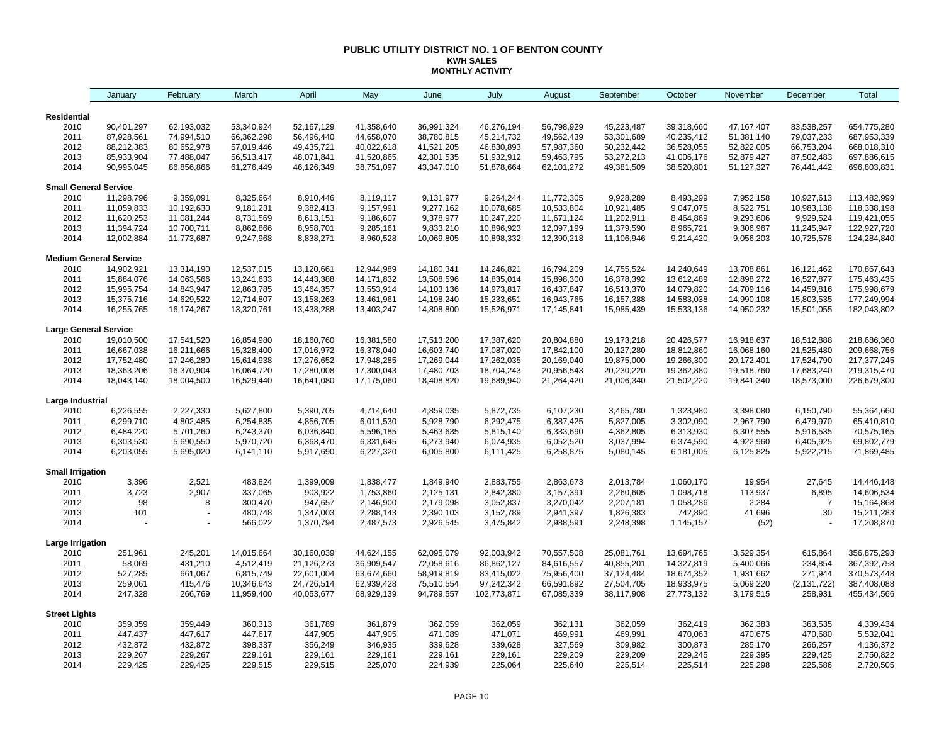#### **PUBLIC UTILITY DISTRICT NO. 1 OF BENTON COUNTY KWH SALES MONTHLY ACTIVITY**

|                               | January                  | February                 | March                    | April                    | May                      | June                     | July                      | August                   | September                | October                  | November                 | December                 | Total                      |
|-------------------------------|--------------------------|--------------------------|--------------------------|--------------------------|--------------------------|--------------------------|---------------------------|--------------------------|--------------------------|--------------------------|--------------------------|--------------------------|----------------------------|
| <b>Residential</b>            |                          |                          |                          |                          |                          |                          |                           |                          |                          |                          |                          |                          |                            |
| 2010                          | 90,401,297               | 62,193,032               | 53,340,924               | 52,167,129               | 41,358,640               | 36,991,324               | 46,276,194                | 56,798,929               | 45,223,487               | 39,318,660               | 47,167,407               | 83,538,257               | 654,775,280                |
| 2011                          | 87,928,561               | 74,994,510               | 66,362,298               | 56,496,440               | 44,658,070               | 38,780,815               | 45,214,732                | 49,562,439               | 53,301,689               | 40,235,412               | 51,381,140               | 79,037,233               | 687,953,339                |
| 2012                          | 88,212,383               | 80,652,978               | 57,019,446               | 49,435,721               | 40,022,618               | 41,521,205               | 46,830,893                | 57,987,360               | 50,232,442               | 36,528,055               | 52,822,005               | 66,753,204               | 668,018,310                |
| 2013                          | 85,933,904               | 77,488,047               | 56,513,417               | 48,071,841               | 41,520,865               | 42,301,535               | 51,932,912                | 59,463,795               | 53,272,213               | 41,006,176               | 52,879,427               | 87,502,483               | 697,886,615                |
| 2014                          | 90,995,045               | 86,856,866               | 61,276,449               | 46,126,349               | 38,751,097               | 43,347,010               | 51,878,664                | 62,101,272               | 49,381,509               | 38,520,801               | 51,127,327               | 76,441,442               | 696,803,831                |
| <b>Small General Service</b>  |                          |                          |                          |                          |                          |                          |                           |                          |                          |                          |                          |                          |                            |
| 2010                          | 11,298,796               | 9,359,091                | 8,325,664                | 8,910,446                | 8,119,117                | 9,131,977                | 9,264,244                 | 11,772,305               | 9,928,289                | 8,493,299                | 7,952,158                | 10,927,613               | 113,482,999                |
| 2011                          | 11,059,833               | 10,192,630               | 9,181,231                | 9,382,413                | 9,157,991                | 9,277,162                | 10,078,685                | 10,533,804               | 10,921,485               | 9,047,075                | 8,522,751                | 10,983,138               | 118,338,198                |
| 2012                          | 11,620,253               | 11,081,244               | 8,731,569                | 8,613,151                | 9,186,607                | 9,378,977                | 10,247,220                | 11,671,124               | 11,202,911               | 8,464,869                | 9,293,606                | 9,929,524                | 119,421,055                |
| 2013                          | 11,394,724               | 10,700,711               | 8,862,866                | 8,958,701                | 9,285,161                | 9,833,210                | 10,896,923                | 12,097,199               | 11,379,590               | 8,965,721                | 9,306,967                | 11,245,947               | 122,927,720                |
| 2014                          | 12,002,884               | 11,773,687               | 9,247,968                | 8,838,271                | 8,960,528                | 10,069,805               | 10,898,332                | 12,390,218               | 11,106,946               | 9,214,420                | 9,056,203                | 10,725,578               | 124,284,840                |
| <b>Medium General Service</b> |                          |                          |                          |                          |                          |                          |                           |                          |                          |                          |                          |                          |                            |
| 2010                          | 14,902,921               | 13,314,190               | 12,537,015               | 13,120,661               | 12,944,989               | 14,180,341               | 14,246,821                | 16,794,209               | 14,755,524               | 14,240,649               | 13,708,861               | 16,121,462               | 170,867,643                |
| 2011                          | 15,884,076               | 14,063,566               | 13,241,633               | 14,443,388               | 14,171,832               | 13,508,596               | 14,835,014                | 15,898,300               | 16,378,392               | 13,612,489               | 12,898,272               | 16,527,877               | 175,463,435                |
| 2012                          | 15,995,754               | 14,843,947               | 12,863,785               | 13,464,357               | 13,553,914               | 14,103,136               | 14,973,817                | 16,437,847               | 16,513,370               | 14,079,820               | 14,709,116               | 14,459,816               | 175,998,679                |
| 2013                          | 15,375,716               | 14,629,522               | 12,714,807               | 13,158,263               | 13,461,961               | 14,198,240               | 15,233,651                | 16,943,765               | 16,157,388               | 14,583,038               | 14,990,108               | 15,803,535               | 177,249,994                |
| 2014                          | 16,255,765               | 16,174,267               | 13,320,761               | 13,438,288               | 13,403,247               | 14,808,800               | 15,526,971                | 17,145,841               | 15,985,439               | 15,533,136               | 14,950,232               | 15,501,055               | 182,043,802                |
| <b>Large General Service</b>  |                          |                          |                          |                          |                          |                          |                           |                          |                          |                          |                          |                          |                            |
| 2010                          | 19,010,500               | 17,541,520               | 16,854,980               | 18,160,760               | 16,381,580               | 17,513,200               | 17,387,620                | 20,804,880               | 19,173,218               | 20,426,577               | 16,918,637               | 18,512,888               | 218,686,360                |
| 2011                          | 16,667,038               | 16,211,666               | 15,328,400               | 17,016,972               | 16,378,040               | 16,603,740               | 17,087,020                | 17,842,100               | 20,127,280               | 18,812,860               | 16,068,160               | 21,525,480               | 209,668,756                |
| 2012<br>2013                  | 17,752,480<br>18,363,206 | 17,246,280<br>16,370,904 | 15,614,938<br>16,064,720 | 17,276,652<br>17,280,008 | 17,948,285<br>17,300,043 | 17,269,044<br>17,480,703 | 17,262,035<br>18,704,243  | 20,169,040<br>20,956,543 | 19,875,000<br>20,230,220 | 19,266,300<br>19,362,880 | 20,172,401               | 17,524,790<br>17,683,240 | 217,377,245<br>219,315,470 |
| 2014                          | 18,043,140               | 18,004,500               | 16,529,440               | 16,641,080               | 17,175,060               | 18,408,820               | 19,689,940                | 21,264,420               | 21,006,340               | 21,502,220               | 19,518,760<br>19,841,340 | 18,573,000               | 226,679,300                |
| Large Industrial              |                          |                          |                          |                          |                          |                          |                           |                          |                          |                          |                          |                          |                            |
| 2010                          | 6,226,555                | 2,227,330                | 5,627,800                | 5,390,705                | 4,714,640                | 4,859,035                | 5,872,735                 | 6,107,230                | 3,465,780                | 1,323,980                | 3,398,080                | 6,150,790                | 55,364,660                 |
| 2011                          | 6,299,710                | 4,802,485                | 6,254,835                | 4,856,705                | 6,011,530                | 5,928,790                | 6,292,475                 | 6,387,425                | 5,827,005                | 3,302,090                | 2,967,790                | 6,479,970                | 65,410,810                 |
| 2012                          | 6,484,220                | 5,701,260                | 6,243,370                | 6,036,840                | 5,596,185                | 5,463,635                | 5,815,140                 | 6,333,690                | 4,362,805                | 6,313,930                | 6,307,555                | 5,916,535                | 70,575,165                 |
| 2013                          | 6,303,530                | 5,690,550                | 5,970,720                | 6,363,470                | 6,331,645                | 6,273,940                | 6,074,935                 | 6,052,520                | 3,037,994                | 6,374,590                | 4,922,960                | 6,405,925                | 69,802,779                 |
| 2014                          | 6,203,055                | 5,695,020                | 6,141,110                | 5,917,690                | 6,227,320                | 6,005,800                | 6,111,425                 | 6,258,875                | 5,080,145                | 6,181,005                | 6,125,825                | 5,922,215                | 71,869,485                 |
| <b>Small Irrigation</b>       |                          |                          |                          |                          |                          |                          |                           |                          |                          |                          |                          |                          |                            |
| 2010                          | 3,396                    | 2,521                    | 483,824                  | 1,399,009                | 1,838,477                | 1,849,940                | 2,883,755                 | 2,863,673                | 2,013,784                | 1,060,170                | 19,954                   | 27,645                   | 14,446,148                 |
| 2011                          | 3,723                    | 2,907                    | 337,065                  | 903,922                  | 1,753,860                | 2,125,131                | 2,842,380                 | 3,157,391                | 2,260,605                | 1,098,718                | 113,937                  | 6,895                    | 14,606,534                 |
| 2012                          | 98                       | 8                        | 300,470                  | 947,657                  | 2,146,900                | 2,179,098                | 3,052,837                 | 3,270,042                | 2,207,181                | 1,058,286                | 2,284                    | $\overline{7}$           | 15,164,868                 |
| 2013                          | 101                      |                          | 480,748                  | 1,347,003                | 2,288,143                | 2,390,103                | 3,152,789                 | 2,941,397                | 1,826,383                | 742,890                  | 41,696                   | 30                       | 15,211,283                 |
| 2014                          |                          |                          | 566,022                  | 1,370,794                | 2,487,573                | 2,926,545                | 3,475,842                 | 2,988,591                | 2,248,398                | 1,145,157                | (52)                     |                          | 17,208,870                 |
| Large Irrigation              |                          |                          |                          |                          |                          |                          |                           |                          |                          |                          |                          |                          |                            |
| 2010                          | 251,961                  | 245,201                  | 14,015,664               | 30,160,039               | 44,624,155               | 62,095,079               | 92,003,942                | 70,557,508               | 25,081,761               | 13,694,765               | 3,529,354                | 615,864                  | 356,875,293                |
| 2011                          | 58,069                   | 431,210                  | 4,512,419                | 21,126,273               | 36,909,547               | 72,058,616               | 86,862,127                | 84,616,557               | 40,855,201               | 14,327,819               | 5,400,066                | 234,854                  | 367,392,758                |
| 2012                          | 527,285                  | 661,067                  | 6,815,749                | 22,601,004               | 63,674,660               | 58,919,819               | 83,415,022                | 75,956,400               | 37,124,484               | 18,674,352               | 1,931,662                | 271,944                  | 370,573,448                |
| 2013<br>2014                  | 259,061<br>247,328       | 415,476<br>266,769       | 10,346,643<br>11,959,400 | 24,726,514<br>40,053,677 | 62,939,428<br>68,929,139 | 75,510,554<br>94,789,557 | 97,242,342<br>102,773,871 | 66,591,892<br>67,085,339 | 27,504,705<br>38,117,908 | 18,933,975<br>27,773,132 | 5,069,220<br>3,179,515   | (2, 131, 722)<br>258,931 | 387,408,088<br>455,434,566 |
|                               |                          |                          |                          |                          |                          |                          |                           |                          |                          |                          |                          |                          |                            |
| <b>Street Lights</b><br>2010  | 359,359                  | 359,449                  | 360,313                  | 361,789                  | 361,879                  | 362,059                  | 362,059                   | 362,131                  | 362,059                  | 362,419                  | 362,383                  | 363,535                  | 4,339,434                  |
| 2011                          | 447,437                  | 447,617                  | 447,617                  | 447,905                  | 447,905                  | 471,089                  | 471,071                   | 469,991                  | 469,991                  | 470,063                  | 470,675                  | 470,680                  | 5,532,041                  |
| 2012                          | 432,872                  | 432,872                  | 398,337                  | 356,249                  | 346,935                  | 339,628                  | 339,628                   | 327,569                  | 309,982                  | 300,873                  | 285,170                  | 266,257                  | 4,136,372                  |
| 2013                          | 229,267                  | 229,267                  | 229,161                  | 229,161                  | 229,161                  | 229,161                  | 229,161                   | 229,209                  | 229,209                  | 229,245                  | 229,395                  | 229,425                  | 2,750,822                  |
| 2014                          | 229,425                  | 229,425                  | 229,515                  | 229,515                  | 225,070                  | 224,939                  | 225,064                   | 225,640                  | 225,514                  | 225,514                  | 225,298                  | 225,586                  | 2,720,505                  |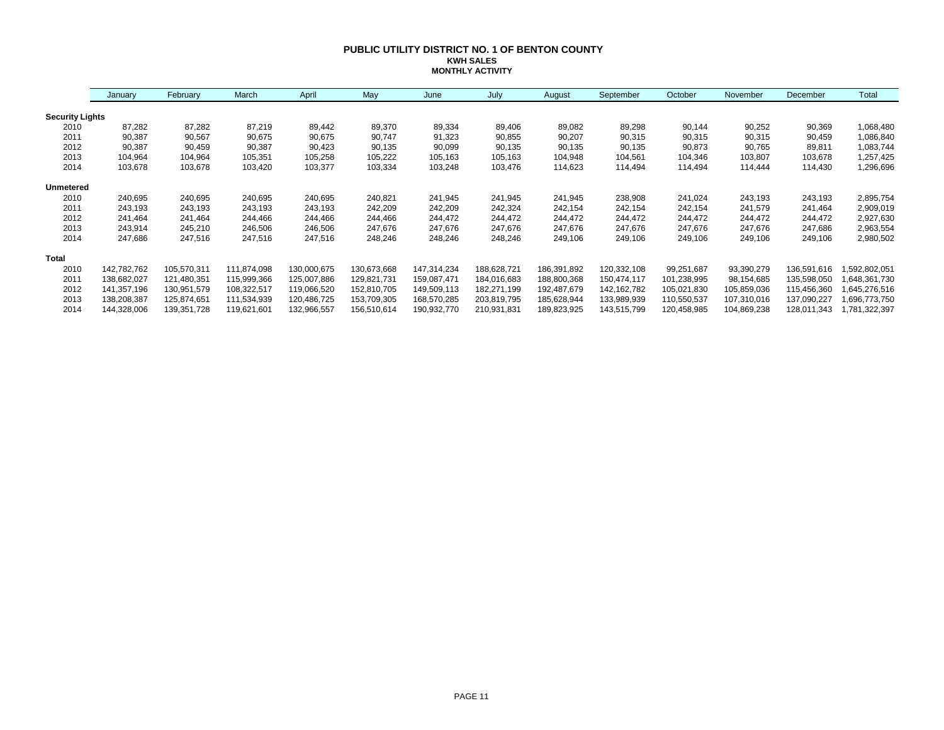#### **PUBLIC UTILITY DISTRICT NO. 1 OF BENTON COUNTY KWH SALES MONTHLY ACTIVITY**

|                        | January     | February    | March       | April       | May         | June        | July        | August      | September   | October     | November    | December    | Total         |
|------------------------|-------------|-------------|-------------|-------------|-------------|-------------|-------------|-------------|-------------|-------------|-------------|-------------|---------------|
| <b>Security Lights</b> |             |             |             |             |             |             |             |             |             |             |             |             |               |
| 2010                   | 87,282      | 87,282      | 87,219      | 89,442      | 89,370      | 89,334      | 89,406      | 89,082      | 89,298      | 90,144      | 90,252      | 90,369      | 1,068,480     |
| 2011                   | 90,387      | 90,567      | 90,675      | 90,675      | 90,747      | 91,323      | 90,855      | 90,207      | 90,315      | 90,315      | 90,315      | 90,459      | 1,086,840     |
| 2012                   | 90,387      | 90,459      | 90,387      | 90,423      | 90,135      | 90,099      | 90,135      | 90,135      | 90,135      | 90,873      | 90,765      | 89,811      | 1,083,744     |
| 2013                   | 104,964     | 104,964     | 105,351     | 105,258     | 105,222     | 105,163     | 105,163     | 104,948     | 104,561     | 104,346     | 103,807     | 103,678     | 1,257,425     |
| 2014                   | 103,678     | 103,678     | 103,420     | 103,377     | 103,334     | 103,248     | 103,476     | 114,623     | 114,494     | 114,494     | 114,444     | 114,430     | 1,296,696     |
| <b>Unmetered</b>       |             |             |             |             |             |             |             |             |             |             |             |             |               |
| 2010                   | 240,695     | 240,695     | 240,695     | 240,695     | 240,821     | 241,945     | 241,945     | 241,945     | 238,908     | 241,024     | 243,193     | 243,193     | 2,895,754     |
| 2011                   | 243,193     | 243,193     | 243,193     | 243,193     | 242,209     | 242,209     | 242,324     | 242,154     | 242,154     | 242,154     | 241,579     | 241,464     | 2,909,019     |
| 2012                   | 241,464     | 241,464     | 244,466     | 244,466     | 244,466     | 244,472     | 244,472     | 244,472     | 244,472     | 244,472     | 244,472     | 244,472     | 2,927,630     |
| 2013                   | 243,914     | 245,210     | 246,506     | 246,506     | 247,676     | 247,676     | 247,676     | 247,676     | 247,676     | 247,676     | 247,676     | 247,686     | 2,963,554     |
| 2014                   | 247,686     | 247,516     | 247,516     | 247,516     | 248,246     | 248,246     | 248,246     | 249,106     | 249,106     | 249,106     | 249,106     | 249,106     | 2,980,502     |
| <b>Total</b>           |             |             |             |             |             |             |             |             |             |             |             |             |               |
| 2010                   | 142,782,762 | 105,570,311 | 111,874,098 | 130,000,675 | 130,673,668 | 147,314,234 | 188,628,721 | 186,391,892 | 120,332,108 | 99,251,687  | 93,390,279  | 136,591,616 | ,592,802,051  |
| 2011                   | 138,682,027 | 121,480,351 | 115,999,366 | 125,007,886 | 129,821,731 | 159,087,471 | 184,016,683 | 188,800,368 | 150,474,117 | 101,238,995 | 98,154,685  | 135,598,050 | 648,361,730   |
| 2012                   | 141,357,196 | 130,951,579 | 108,322,517 | 119,066,520 | 152,810,705 | 149,509,113 | 182,271,199 | 192,487,679 | 142,162,782 | 105,021,830 | 105,859,036 | 115,456,360 | 645,276,516,  |
| 2013                   | 138,208,387 | 125,874,651 | 111,534,939 | 120,486,725 | 153,709,305 | 168,570,285 | 203,819,795 | 185,628,944 | 133,989,939 | 110,550,537 | 107,310,016 | 137,090,227 | 1,696,773,750 |
| 2014                   | 144,328,006 | 139,351,728 | 119,621,601 | 132,966,557 | 156,510,614 | 190,932,770 | 210,931,831 | 189,823,925 | 143,515,799 | 120,458,985 | 104,869,238 | 128,011,343 | ,781,322,397  |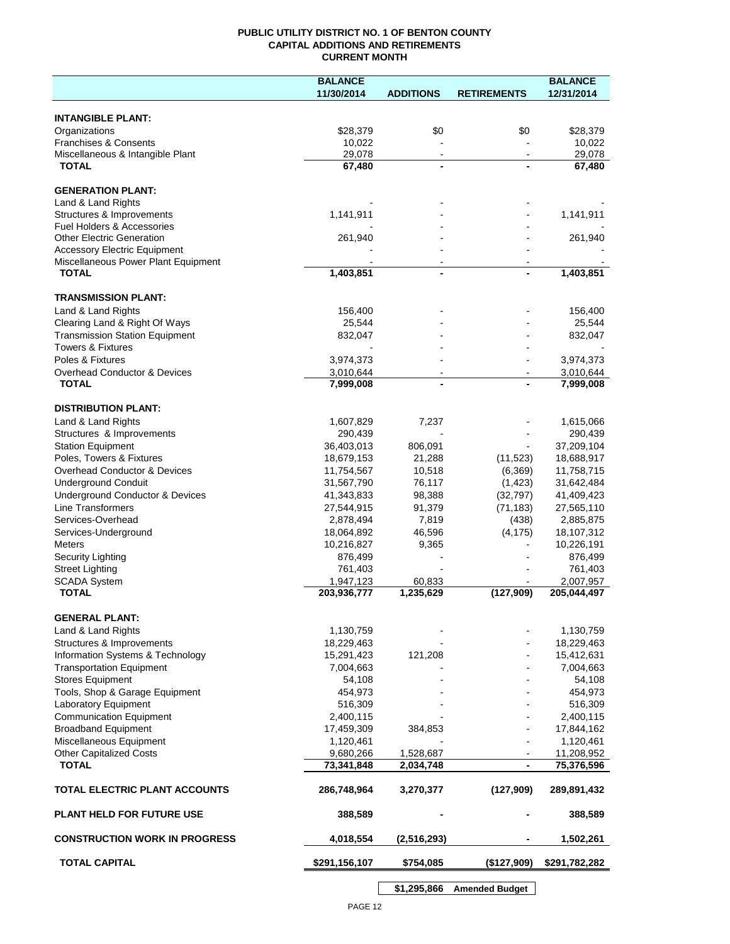## **PUBLIC UTILITY DISTRICT NO. 1 OF BENTON COUNTY CAPITAL ADDITIONS AND RETIREMENTS CURRENT MONTH**

|                                                                            | <b>BALANCE</b>          |                          |                    | <b>BALANCE</b>          |
|----------------------------------------------------------------------------|-------------------------|--------------------------|--------------------|-------------------------|
|                                                                            | 11/30/2014              | <b>ADDITIONS</b>         | <b>RETIREMENTS</b> | 12/31/2014              |
| <b>INTANGIBLE PLANT:</b>                                                   |                         |                          |                    |                         |
| Organizations                                                              | \$28,379                | \$0                      | \$0                | \$28,379                |
| <b>Franchises &amp; Consents</b>                                           | 10,022                  |                          |                    | 10,022                  |
| Miscellaneous & Intangible Plant                                           | 29,078                  | $\blacksquare$           | $\sim$             | 29,078                  |
| <b>TOTAL</b>                                                               | 67,480                  | $\blacksquare$           |                    | 67,480                  |
| <b>GENERATION PLANT:</b>                                                   |                         |                          |                    |                         |
| Land & Land Rights                                                         |                         |                          |                    |                         |
| Structures & Improvements                                                  | 1,141,911               |                          |                    | 1,141,911               |
| <b>Fuel Holders &amp; Accessories</b>                                      |                         |                          |                    |                         |
| <b>Other Electric Generation</b>                                           | 261,940                 |                          |                    | 261,940                 |
| <b>Accessory Electric Equipment</b><br>Miscellaneous Power Plant Equipment |                         | $\overline{\phantom{a}}$ |                    |                         |
| <b>TOTAL</b>                                                               | 1,403,851               | $\blacksquare$           |                    | $\overline{1,}403,851$  |
|                                                                            |                         |                          |                    |                         |
| <b>TRANSMISSION PLANT:</b>                                                 |                         |                          |                    |                         |
| Land & Land Rights                                                         | 156,400                 |                          |                    | 156,400                 |
| Clearing Land & Right Of Ways<br><b>Transmission Station Equipment</b>     | 25,544                  |                          |                    | 25,544                  |
| <b>Towers &amp; Fixtures</b>                                               | 832,047                 |                          |                    | 832,047                 |
| Poles & Fixtures                                                           | 3,974,373               |                          |                    | 3,974,373               |
| Overhead Conductor & Devices                                               | 3,010,644               |                          |                    | 3,010,644               |
| <b>TOTAL</b>                                                               | 7,999,008               |                          |                    | 7,999,008               |
|                                                                            |                         |                          |                    |                         |
| <b>DISTRIBUTION PLANT:</b>                                                 |                         |                          |                    |                         |
| Land & Land Rights                                                         | 1,607,829               | 7,237                    |                    | 1,615,066               |
| Structures & Improvements<br><b>Station Equipment</b>                      | 290,439<br>36,403,013   | 806,091                  |                    | 290,439<br>37,209,104   |
| Poles, Towers & Fixtures                                                   | 18,679,153              | 21,288                   | (11, 523)          | 18,688,917              |
| Overhead Conductor & Devices                                               | 11,754,567              | 10,518                   | (6, 369)           | 11,758,715              |
| <b>Underground Conduit</b>                                                 | 31,567,790              | 76,117                   | (1, 423)           | 31,642,484              |
| Underground Conductor & Devices                                            | 41,343,833              | 98,388                   | (32, 797)          | 41,409,423              |
| <b>Line Transformers</b>                                                   | 27,544,915              | 91,379                   | (71, 183)          | 27,565,110              |
| Services-Overhead                                                          | 2,878,494               | 7,819                    | (438)              | 2,885,875               |
| Services-Underground                                                       | 18,064,892              | 46,596                   | (4, 175)           | 18,107,312              |
| <b>Meters</b>                                                              | 10,216,827              | 9,365                    |                    | 10,226,191              |
| Security Lighting                                                          | 876,499                 |                          |                    | 876,499<br>761,403      |
| <b>Street Lighting</b><br><b>SCADA System</b>                              | 761,403<br>1,947,123    | 60,833                   |                    | 2,007,957               |
| <b>TOTAL</b>                                                               | 203,936,777             | 1,235,629                | (127,909)          | 205,044,497             |
|                                                                            |                         |                          |                    |                         |
| <b>GENERAL PLANT:</b>                                                      |                         |                          |                    |                         |
| Land & Land Rights                                                         | 1,130,759               |                          |                    | 1,130,759               |
| Structures & Improvements<br>Information Systems & Technology              | 18,229,463              | 121,208                  |                    | 18,229,463              |
| <b>Transportation Equipment</b>                                            | 15,291,423<br>7,004,663 |                          |                    | 15,412,631<br>7,004,663 |
| <b>Stores Equipment</b>                                                    | 54,108                  |                          |                    | 54,108                  |
| Tools, Shop & Garage Equipment                                             | 454,973                 |                          |                    | 454,973                 |
| Laboratory Equipment                                                       | 516,309                 |                          |                    | 516,309                 |
| <b>Communication Equipment</b>                                             | 2,400,115               |                          |                    | 2,400,115               |
| <b>Broadband Equipment</b>                                                 | 17,459,309              | 384,853                  |                    | 17,844,162              |
| Miscellaneous Equipment                                                    | 1,120,461               |                          |                    | 1,120,461               |
| <b>Other Capitalized Costs</b>                                             | 9,680,266               | 1,528,687                |                    | 11,208,952              |
| <b>TOTAL</b>                                                               | 73,341,848              | 2,034,748                |                    | 75,376,596              |
| TOTAL ELECTRIC PLANT ACCOUNTS                                              | 286,748,964             | 3,270,377                | (127, 909)         | 289,891,432             |
| <b>PLANT HELD FOR FUTURE USE</b>                                           | 388,589                 |                          |                    | 388,589                 |
| <b>CONSTRUCTION WORK IN PROGRESS</b>                                       | 4,018,554               | (2,516,293)              |                    | 1,502,261               |
| <b>TOTAL CAPITAL</b>                                                       | \$291,156,107           | \$754,085                | (\$127,909)        | \$291,782,282           |
|                                                                            |                         |                          |                    |                         |

**\$1,295,866 Amended Budget**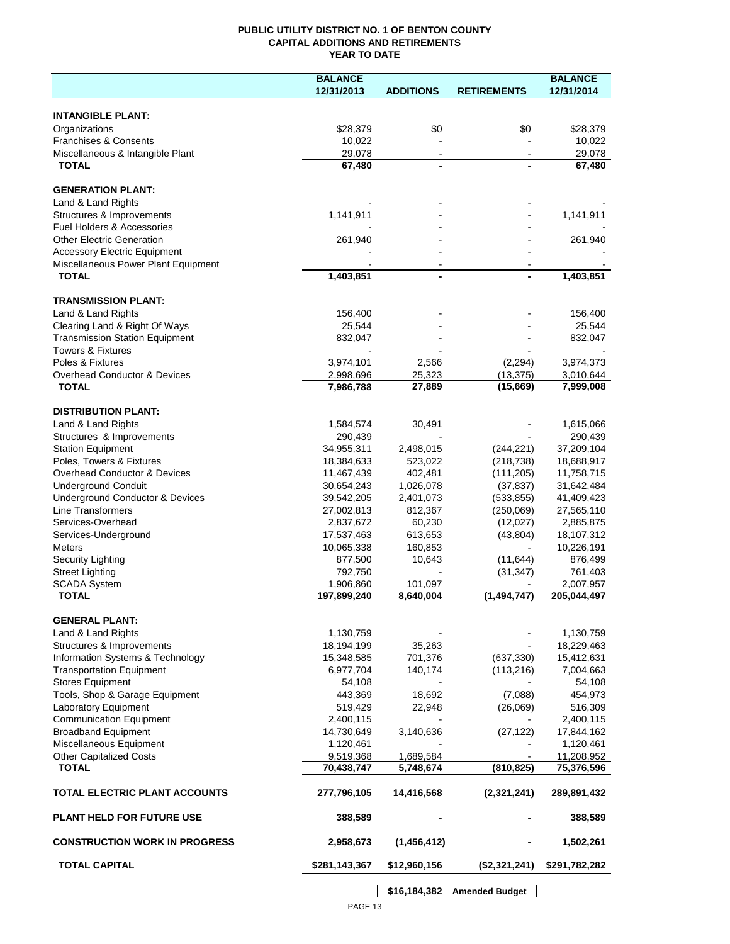## **PUBLIC UTILITY DISTRICT NO. 1 OF BENTON COUNTY CAPITAL ADDITIONS AND RETIREMENTS YEAR TO DATE**

|                                         | <b>BALANCE</b> |                  |                    | <b>BALANCE</b> |
|-----------------------------------------|----------------|------------------|--------------------|----------------|
|                                         | 12/31/2013     | <b>ADDITIONS</b> | <b>RETIREMENTS</b> | 12/31/2014     |
|                                         |                |                  |                    |                |
| <b>INTANGIBLE PLANT:</b>                |                |                  |                    |                |
| Organizations                           | \$28,379       | \$0              | \$0                | \$28,379       |
| <b>Franchises &amp; Consents</b>        | 10,022         |                  |                    | 10,022         |
| Miscellaneous & Intangible Plant        | 29,078         | $\blacksquare$   | $\blacksquare$     | 29,078         |
| <b>TOTAL</b>                            | 67,480         |                  |                    | 67,480         |
|                                         |                |                  |                    |                |
| <b>GENERATION PLANT:</b>                |                |                  |                    |                |
| Land & Land Rights                      |                |                  |                    |                |
| Structures & Improvements               | 1,141,911      |                  |                    | 1,141,911      |
| Fuel Holders & Accessories              |                |                  |                    |                |
| <b>Other Electric Generation</b>        | 261,940        |                  |                    | 261,940        |
| <b>Accessory Electric Equipment</b>     |                |                  |                    |                |
| Miscellaneous Power Plant Equipment     |                |                  |                    |                |
| <b>TOTAL</b>                            | 1,403,851      |                  |                    | 1,403,851      |
|                                         |                |                  |                    |                |
| <b>TRANSMISSION PLANT:</b>              |                |                  |                    |                |
| Land & Land Rights                      | 156,400        |                  |                    | 156,400        |
| Clearing Land & Right Of Ways           | 25,544         |                  |                    | 25,544         |
| <b>Transmission Station Equipment</b>   | 832,047        |                  |                    | 832,047        |
| <b>Towers &amp; Fixtures</b>            |                |                  |                    |                |
| Poles & Fixtures                        | 3,974,101      | 2,566            | (2, 294)           | 3,974,373      |
| <b>Overhead Conductor &amp; Devices</b> | 2,998,696      | 25,323           | (13, 375)          | 3,010,644      |
| <b>TOTAL</b>                            | 7,986,788      | 27,889           | (15,669)           | 7,999,008      |
|                                         |                |                  |                    |                |
| <b>DISTRIBUTION PLANT:</b>              |                |                  |                    |                |
| Land & Land Rights                      | 1,584,574      | 30,491           |                    | 1,615,066      |
| Structures & Improvements               | 290,439        |                  |                    | 290,439        |
| <b>Station Equipment</b>                | 34,955,311     | 2,498,015        | (244, 221)         | 37,209,104     |
| Poles, Towers & Fixtures                | 18,384,633     | 523,022          | (218, 738)         | 18,688,917     |
| Overhead Conductor & Devices            | 11,467,439     | 402,481          | (111, 205)         | 11,758,715     |
| <b>Underground Conduit</b>              | 30,654,243     | 1,026,078        | (37, 837)          | 31,642,484     |
| Underground Conductor & Devices         | 39,542,205     | 2,401,073        | (533, 855)         | 41,409,423     |
| Line Transformers                       |                |                  |                    |                |
|                                         | 27,002,813     | 812,367          | (250,069)          | 27,565,110     |
| Services-Overhead                       | 2,837,672      | 60,230           | (12,027)           | 2,885,875      |
| Services-Underground                    | 17,537,463     | 613,653          | (43, 804)          | 18,107,312     |
| <b>Meters</b>                           | 10,065,338     | 160,853          |                    | 10,226,191     |
| Security Lighting                       | 877,500        | 10,643           | (11, 644)          | 876,499        |
| <b>Street Lighting</b>                  | 792,750        |                  | (31, 347)          | 761,403        |
| <b>SCADA System</b>                     | 1,906,860      | 101,097          |                    | 2,007,957      |
| <b>TOTAL</b>                            | 197,899,240    | 8,640,004        | (1, 494, 747)      | 205,044,497    |
|                                         |                |                  |                    |                |
| <b>GENERAL PLANT:</b>                   |                |                  |                    |                |
| Land & Land Rights                      | 1,130,759      |                  |                    | 1,130,759      |
| Structures & Improvements               | 18,194,199     | 35,263           |                    | 18,229,463     |
| Information Systems & Technology        | 15,348,585     | 701,376          | (637, 330)         | 15,412,631     |
| <b>Transportation Equipment</b>         | 6,977,704      | 140,174          | (113, 216)         | 7,004,663      |
| <b>Stores Equipment</b>                 | 54,108         |                  |                    | 54,108         |
| Tools, Shop & Garage Equipment          | 443,369        | 18,692           | (7,088)            | 454,973        |
| <b>Laboratory Equipment</b>             | 519,429        | 22,948           | (26,069)           | 516,309        |
| <b>Communication Equipment</b>          | 2,400,115      |                  |                    | 2,400,115      |
| <b>Broadband Equipment</b>              | 14,730,649     | 3,140,636        | (27, 122)          | 17,844,162     |
| Miscellaneous Equipment                 | 1,120,461      |                  |                    | 1,120,461      |
| <b>Other Capitalized Costs</b>          | 9,519,368      | 1,689,584        |                    | 11,208,952     |
| <b>TOTAL</b>                            | 70,438,747     | 5,748,674        | (810, 825)         | 75,376,596     |
|                                         |                |                  |                    |                |
| TOTAL ELECTRIC PLANT ACCOUNTS           | 277,796,105    | 14,416,568       | (2,321,241)        | 289,891,432    |
|                                         |                |                  |                    |                |
| <b>PLANT HELD FOR FUTURE USE</b>        | 388,589        |                  |                    | 388,589        |
|                                         |                |                  |                    |                |
| <b>CONSTRUCTION WORK IN PROGRESS</b>    | 2,958,673      | (1,456,412)      |                    | 1,502,261      |
|                                         |                |                  |                    |                |
| <b>TOTAL CAPITAL</b>                    | \$281,143,367  | \$12,960,156     | (\$2,321,241)      | \$291,782,282  |
|                                         |                |                  |                    |                |

**\$16,184,382 Amended Budget**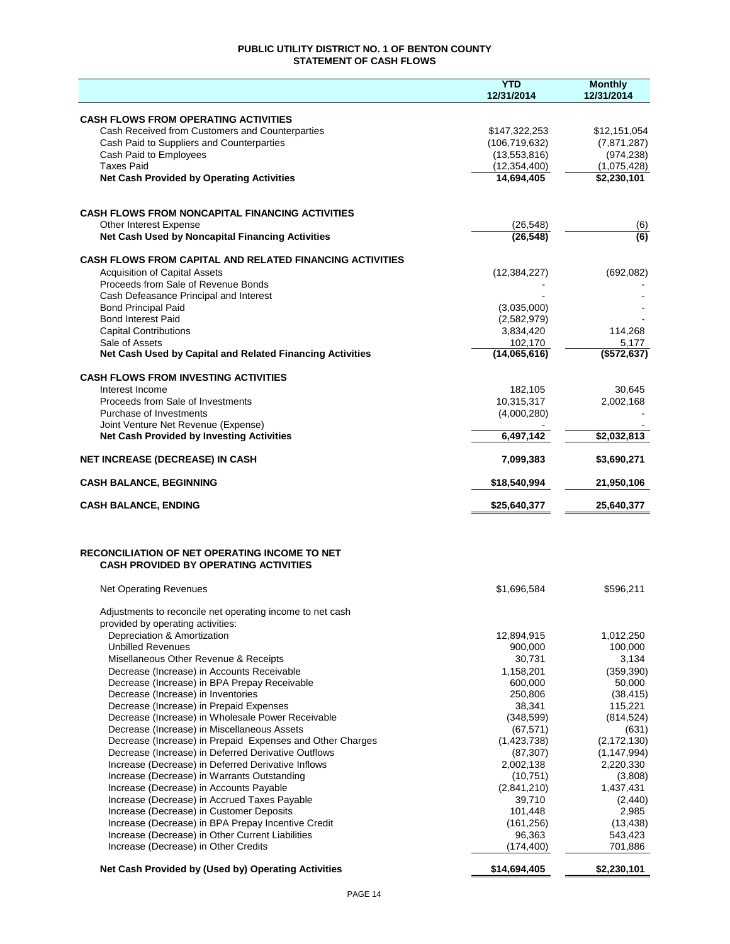## **PUBLIC UTILITY DISTRICT NO. 1 OF BENTON COUNTY STATEMENT OF CASH FLOWS**

|                                                                                                      | <b>YTD</b><br>12/31/2014 | <b>Monthly</b><br>12/31/2014 |
|------------------------------------------------------------------------------------------------------|--------------------------|------------------------------|
| <b>CASH FLOWS FROM OPERATING ACTIVITIES</b>                                                          |                          |                              |
| Cash Received from Customers and Counterparties                                                      | \$147,322,253            | \$12,151,054                 |
| Cash Paid to Suppliers and Counterparties                                                            | (106, 719, 632)          | (7,871,287)                  |
| Cash Paid to Employees                                                                               | (13,553,816)             | (974, 238)                   |
| <b>Taxes Paid</b>                                                                                    | (12, 354, 400)           | (1,075,428)                  |
| <b>Net Cash Provided by Operating Activities</b>                                                     | 14,694,405               | \$2,230,101                  |
|                                                                                                      |                          |                              |
| <b>CASH FLOWS FROM NONCAPITAL FINANCING ACTIVITIES</b>                                               |                          |                              |
| Other Interest Expense                                                                               | (26, 548)                | (6)                          |
| Net Cash Used by Noncapital Financing Activities                                                     | (26, 548)                | $\overline{(6)}$             |
| <b>CASH FLOWS FROM CAPITAL AND RELATED FINANCING ACTIVITIES</b>                                      |                          |                              |
| <b>Acquisition of Capital Assets</b><br>Proceeds from Sale of Revenue Bonds                          | (12, 384, 227)           | (692,082)                    |
| Cash Defeasance Principal and Interest                                                               |                          |                              |
| <b>Bond Principal Paid</b>                                                                           | (3,035,000)              |                              |
| <b>Bond Interest Paid</b>                                                                            | (2,582,979)              |                              |
| <b>Capital Contributions</b>                                                                         | 3,834,420                | 114,268                      |
| Sale of Assets                                                                                       | 102,170                  | 5,177                        |
| Net Cash Used by Capital and Related Financing Activities                                            | (14,065,616)             | (\$572,637)                  |
| <b>CASH FLOWS FROM INVESTING ACTIVITIES</b>                                                          |                          |                              |
| Interest Income                                                                                      | 182,105                  | 30,645                       |
| Proceeds from Sale of Investments                                                                    | 10,315,317               | 2,002,168                    |
| Purchase of Investments                                                                              | (4,000,280)              |                              |
| Joint Venture Net Revenue (Expense)<br><b>Net Cash Provided by Investing Activities</b>              | 6,497,142                | \$2,032,813                  |
| <b>NET INCREASE (DECREASE) IN CASH</b>                                                               | 7,099,383                | \$3,690,271                  |
|                                                                                                      |                          |                              |
| <b>CASH BALANCE, BEGINNING</b>                                                                       | \$18,540,994             | 21,950,106                   |
| <b>CASH BALANCE, ENDING</b>                                                                          | \$25,640,377             | 25,640,377                   |
| <b>RECONCILIATION OF NET OPERATING INCOME TO NET</b><br><b>CASH PROVIDED BY OPERATING ACTIVITIES</b> |                          |                              |
| <b>Net Operating Revenues</b>                                                                        | \$1,696,584              | \$596,211                    |
| Adjustments to reconcile net operating income to net cash<br>provided by operating activities:       |                          |                              |
| Depreciation & Amortization                                                                          | 12,894,915               | 1,012,250                    |
| <b>Unbilled Revenues</b>                                                                             | 900,000                  | 100,000                      |
| Misellaneous Other Revenue & Receipts                                                                | 30,731                   | 3,134                        |
| Decrease (Increase) in Accounts Receivable                                                           | 1,158,201                | (359, 390)                   |
| Decrease (Increase) in BPA Prepay Receivable                                                         | 600,000                  | 50,000                       |
| Decrease (Increase) in Inventories                                                                   | 250,806                  | (38, 415)                    |
| Decrease (Increase) in Prepaid Expenses                                                              | 38,341                   | 115,221                      |
| Decrease (Increase) in Wholesale Power Receivable                                                    | (348, 599)               | (814, 524)                   |
| Decrease (Increase) in Miscellaneous Assets                                                          | (67, 571)                | (631)                        |
| Decrease (Increase) in Prepaid Expenses and Other Charges                                            | (1,423,738)              | (2, 172, 130)                |
| Decrease (Increase) in Deferred Derivative Outflows                                                  | (87, 307)                | (1, 147, 994)                |
| Increase (Decrease) in Deferred Derivative Inflows                                                   | 2,002,138                | 2,220,330                    |
| Increase (Decrease) in Warrants Outstanding                                                          | (10, 751)                | (3,808)                      |
| Increase (Decrease) in Accounts Payable                                                              | (2,841,210)              | 1,437,431                    |
| Increase (Decrease) in Accrued Taxes Payable                                                         | 39,710<br>101,448        | (2, 440)<br>2,985            |
| Increase (Decrease) in Customer Deposits<br>Increase (Decrease) in BPA Prepay Incentive Credit       | (161, 256)               | (13, 438)                    |
| Increase (Decrease) in Other Current Liabilities                                                     | 96,363                   | 543,423                      |
| Increase (Decrease) in Other Credits                                                                 | (174, 400)               | 701,886                      |
| Net Cash Provided by (Used by) Operating Activities                                                  | \$14,694,405             | \$2,230,101                  |
|                                                                                                      |                          |                              |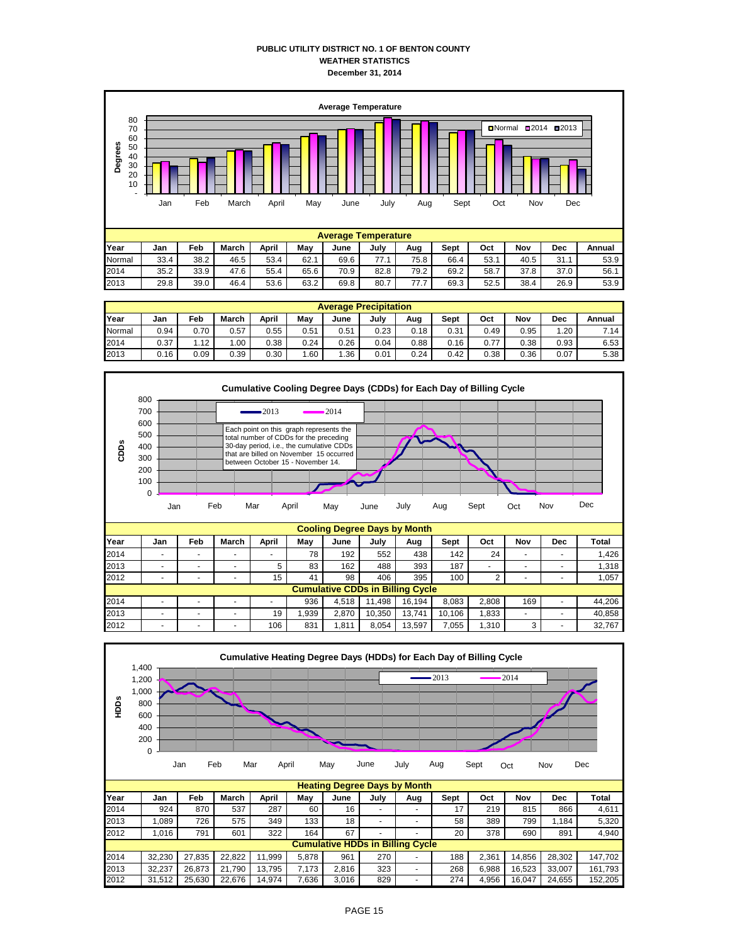## **PUBLIC UTILITY DISTRICT NO. 1 OF BENTON COUNTY WEATHER STATISTICS December 31, 2014**



|        | <b>Average Precipitation</b> |      |                  |       |      |      |      |      |      |      |      |      |        |  |  |
|--------|------------------------------|------|------------------|-------|------|------|------|------|------|------|------|------|--------|--|--|
| Year   | Jan                          | Feb  | March            | April | May  | June | July | Aug  | Sept | Oct  | Nov  | Dec  | Annual |  |  |
| Normal | 0.94                         | 0.70 | 0.57             | 0.55  | 0.51 | 0.51 | 0.23 | 0.18 | 0.31 | 0.49 | 0.95 | 1.20 | 7.14   |  |  |
| 2014   | 0.37                         | 1.12 | .00 <sub>1</sub> | 0.38  | 0.24 | 0.26 | 0.04 | 0.88 | 0.16 | 0.77 | 0.38 | 0.93 | 6.53   |  |  |
| 2013   | 0.16                         | 0.09 | 0.39             | 0.30  | .60  | .36  | 0.01 | 0.24 | 0.42 | 0.38 | 0.36 | 0.07 | 5.38   |  |  |



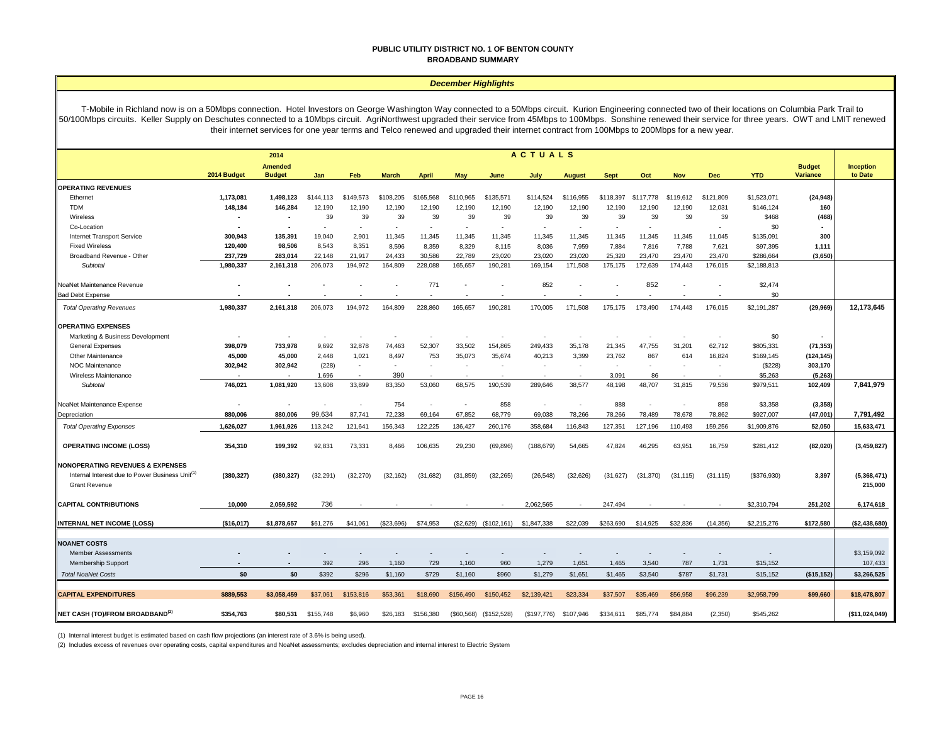#### **PUBLIC UTILITY DISTRICT NO. 1 OF BENTON COUNTY BROADBAND SUMMARY**

#### *December Highlights*

T-Mobile in Richland now is on a 50Mbps connection. Hotel Investors on George Washington Way connected to a 50Mbps circuit. Kurion Engineering connected two of their locations on Columbia Park Trail to 50/100Mbps circuits. Keller Supply on Deschutes connected to a 10Mbps circuit. AgriNorthwest upgraded their service from 45Mbps to 100Mbps. Sonshine renewed their service for three years. OWT and LMIT renewed their internet services for one year terms and Telco renewed and upgraded their internet contract from 100Mbps to 200Mbps for a new year.

|                                                             | <b>ACTUALS</b><br>2014 |                                 |                          |                          |              |              |                          |                          |             |               |             |           |                          |            |             |                           |                      |
|-------------------------------------------------------------|------------------------|---------------------------------|--------------------------|--------------------------|--------------|--------------|--------------------------|--------------------------|-------------|---------------|-------------|-----------|--------------------------|------------|-------------|---------------------------|----------------------|
|                                                             | 2014 Budget            | <b>Amended</b><br><b>Budget</b> | Jan                      | Feb                      | <b>March</b> | <b>April</b> | May                      | June                     | July        | <b>August</b> | <b>Sept</b> | Oct       | <b>Nov</b>               | <b>Dec</b> | <b>YTD</b>  | <b>Budget</b><br>Variance | Inception<br>to Date |
| <b>OPERATING REVENUES</b>                                   |                        |                                 |                          |                          |              |              |                          |                          |             |               |             |           |                          |            |             |                           |                      |
| Ethernet                                                    | 1,173,081              | 1,498,123                       | \$144,113                | \$149,573                | \$108,205    | \$165,568    | \$110,965                | \$135,571                | \$114,524   | \$116,955     | \$118,397   | \$117,778 | \$119,612                | \$121,809  | \$1,523,071 | (24, 948)                 |                      |
| <b>TDM</b>                                                  | 148,184                | 146,284                         | 12,190                   | 12,190                   | 12,190       | 12,190       | 12,190                   | 12,190                   | 12,190      | 12,190        | 12,190      | 12,190    | 12,190                   | 12,031     | \$146,124   | 160                       |                      |
| Wireless                                                    |                        | $\blacksquare$                  | 39                       | 39                       | 39           | 39           | 39                       | 39                       | 39          | 39            | 39          | 39        | 39                       | 39         | \$468       | (468)                     |                      |
| Co-Location                                                 |                        |                                 | $\overline{\phantom{a}}$ |                          |              |              |                          | $\sim$                   |             |               | ä,          |           |                          |            | \$0         |                           |                      |
| <b>Internet Transport Service</b>                           | 300,943                | 135.391                         | 19.040                   | 2.901                    | 11,345       | 11.345       | 11.345                   | 11,345                   | 11.345      | 11.345        | 11,345      | 11.345    | 11,345                   | 11.045     | \$135,091   | 300                       |                      |
| <b>Fixed Wireless</b>                                       | 120,400                | 98.506                          | 8.543                    | 8.351                    | 8,596        | 8.359        | 8,329                    | 8.115                    | 8.036       | 7.959         | 7.884       | 7.816     | 7,788                    | 7,621      | \$97,395    | 1,111                     |                      |
| Broadband Revenue - Other                                   | 237,729                | 283,014                         | 22.148                   | 21.917                   | 24,433       | 30.586       | 22.789                   | 23.020                   | 23.020      | 23,020        | 25,320      | 23,470    | 23,470                   | 23.470     | \$286,664   | (3,650)                   |                      |
| Subtotal                                                    | 1,980,337              | 2,161,318                       | 206,073                  | 194,972                  | 164,809      | 228.088      | 165,657                  | 190,281                  | 169,154     | 171.508       | 175,175     | 172,639   | 174,443                  | 176,015    | \$2,188,813 |                           |                      |
| NoaNet Maintenance Revenue                                  |                        |                                 |                          |                          |              | 771          | ÷                        |                          | 852         |               |             | 852       |                          |            | \$2,474     |                           |                      |
| <b>Bad Debt Expense</b>                                     |                        |                                 |                          |                          |              |              |                          | $\overline{\phantom{a}}$ |             |               |             |           | $\sim$                   | ٠.         | \$0         |                           |                      |
| <b>Total Operating Revenues</b>                             | 1,980,337              | 2,161,318                       | 206,073                  | 194.972                  | 164,809      | 228,860      | 165,657                  | 190,281                  | 170,005     | 171.508       | 175,175     | 173,490   | 174.443                  | 176,015    | \$2,191,287 | (29, 969)                 | 12,173,645           |
| <b>OPERATING EXPENSES</b>                                   |                        |                                 |                          |                          |              |              |                          |                          |             |               |             |           |                          |            |             |                           |                      |
| Marketing & Business Development                            |                        | $\blacksquare$                  | ٠                        |                          |              |              |                          | $\overline{\phantom{a}}$ |             |               |             |           |                          |            | \$0         |                           |                      |
| <b>General Expenses</b>                                     | 398,079                | 733,978                         | 9,692                    | 32.878                   | 74,463       | 52,307       | 33,502                   | 154,865                  | 249,433     | 35,178        | 21,345      | 47.755    | 31,201                   | 62,712     | \$805,331   | (71, 353)                 |                      |
| Other Maintenance                                           | 45,000                 | 45,000                          | 2.448                    | 1,021                    | 8,497        | 753          | 35,073                   | 35,674                   | 40,213      | 3,399         | 23,762      | 867       | 614                      | 16,824     | \$169,145   | (124, 145)                |                      |
| NOC Maintenance                                             | 302,942                | 302,942                         | (228)                    | $\overline{\phantom{a}}$ | $\sim$       |              |                          | ٠                        |             | ٠             | ٠           |           |                          |            | (\$228)     | 303,170                   |                      |
| Wireless Maintenance                                        |                        | $\blacksquare$                  | 1,696                    | $\overline{\phantom{a}}$ | 390          |              |                          |                          |             |               | 3,091       | 86        |                          |            | \$5,263     | (5, 263)                  |                      |
| Subtotal                                                    | 746,021                | 1,081,920                       | 13,608                   | 33,899                   | 83,350       | 53,060       | 68,575                   | 190,539                  | 289,646     | 38,577        | 48,198      | 48,707    | 31,815                   | 79,536     | \$979,511   | 102,409                   | 7,841,979            |
| NoaNet Maintenance Expense                                  |                        | ×                               | ٠                        |                          | 754          |              | $\overline{\phantom{a}}$ | 858                      | ٠           |               | 888         |           | $\overline{\phantom{a}}$ | 858        | \$3,358     | (3, 358)                  |                      |
| Depreciation                                                | 880,006                | 880,006                         | 99,634                   | 87,741                   | 72,238       | 69,164       | 67,852                   | 68,779                   | 69,038      | 78,266        | 78,266      | 78,489    | 78,678                   | 78,862     | \$927,007   | (47,001)                  | 7,791,492            |
| <b>Total Operating Expenses</b>                             | 1,626,027              | 1,961,926                       | 113,242                  | 121,641                  | 156,343      | 122,225      | 136,427                  | 260,176                  | 358,684     | 116,843       | 127,351     | 127,196   | 110,493                  | 159,256    | \$1,909,876 | 52,050                    | 15,633,471           |
| <b>OPERATING INCOME (LOSS)</b>                              | 354,310                | 199,392                         | 92,831                   | 73,331                   | 8,466        | 106,635      | 29,230                   | (69, 896)                | (188, 679)  | 54,665        | 47,824      | 46,295    | 63,951                   | 16,759     | \$281,412   | (82, 020)                 | (3,459,827)          |
| <b>NONOPERATING REVENUES &amp; EXPENSES</b>                 |                        |                                 |                          |                          |              |              |                          |                          |             |               |             |           |                          |            |             |                           |                      |
| Internal Interest due to Power Business Unit <sup>(1)</sup> | (380, 327)             | (380, 327)                      | (32, 291)                | (32, 270)                | (32, 162)    | (31,682)     | (31, 859)                | (32, 265)                | (26, 548)   | (32, 626)     | (31, 627)   | (31, 370) | (31, 115)                | (31, 115)  | (\$376,930) | 3,397                     | (5,368,471)          |
| <b>Grant Revenue</b>                                        |                        |                                 |                          |                          |              |              |                          |                          |             |               |             |           |                          |            |             |                           | 215,000              |
| <b>CAPITAL CONTRIBUTIONS</b>                                | 10.000                 | 2,059,592                       | 736                      |                          |              |              |                          |                          | 2,062,565   |               | 247,494     |           |                          |            | \$2,310,794 | 251,202                   | 6,174,618            |
| <b>INTERNAL NET INCOME (LOSS)</b>                           | (\$16,017)             | \$1,878,657                     | \$61,276                 | \$41,061                 | (S23.696)    | \$74.953     | (\$2,629)                | (\$102, 161)             | \$1,847,338 | \$22.039      | \$263,690   | \$14,925  | \$32,836                 | (14.356)   | \$2,215,276 | \$172,580                 | (\$2,438,680)        |
|                                                             |                        |                                 |                          |                          |              |              |                          |                          |             |               |             |           |                          |            |             |                           |                      |
| <b>NOANET COSTS</b>                                         |                        |                                 |                          |                          |              |              |                          |                          |             |               |             |           |                          |            |             |                           |                      |
| <b>Member Assessments</b>                                   |                        |                                 |                          |                          |              |              |                          |                          |             |               |             |           |                          |            |             |                           | \$3,159,092          |
| <b>Membership Support</b>                                   |                        |                                 | 392                      | 296                      | 1,160        | 729          | 1,160                    | 960                      | 1,279       | 1.651         | 1.465       | 3.540     | 787                      | 1,731      | \$15,152    |                           | 107,433              |
| <b>Total NoaNet Costs</b>                                   | \$0                    | \$0                             | \$392                    | \$296                    | \$1,160      | \$729        | \$1,160                  | \$960                    | \$1,279     | \$1,651       | \$1,465     | \$3,540   | \$787                    | \$1,731    | \$15,152    | (\$15, 152)               | \$3,266,525          |
|                                                             |                        |                                 |                          |                          |              |              |                          |                          |             |               |             |           |                          |            |             |                           |                      |
| <b>CAPITAL EXPENDITURES</b>                                 | \$889,553              | \$3,058,459                     | \$37,061                 | \$153,816                | \$53,361     | \$18,690     | \$156,490                | \$150,452                | \$2,139,421 | \$23,334      | \$37,507    | \$35,469  | \$56,958                 | \$96,239   | \$2,958,799 | \$99,660                  | \$18,478,807         |
| NET CASH (TO)/FROM BROADBAND <sup>(2)</sup>                 | \$354.763              | \$80.531                        | \$155,748                | \$6,960                  | \$26,183     | \$156,380    | (\$60,568)               | (\$152,528)              | (\$197,776) | \$107,946     | \$334.611   | \$85,774  | \$84.884                 | (2.350)    | \$545.262   |                           | (\$11.024.049)       |

(1) Internal interest budget is estimated based on cash flow projections (an interest rate of 3.6% is being used).

(2) Includes excess of revenues over operating costs, capital expenditures and NoaNet assessments; excludes depreciation and internal interest to Electric System